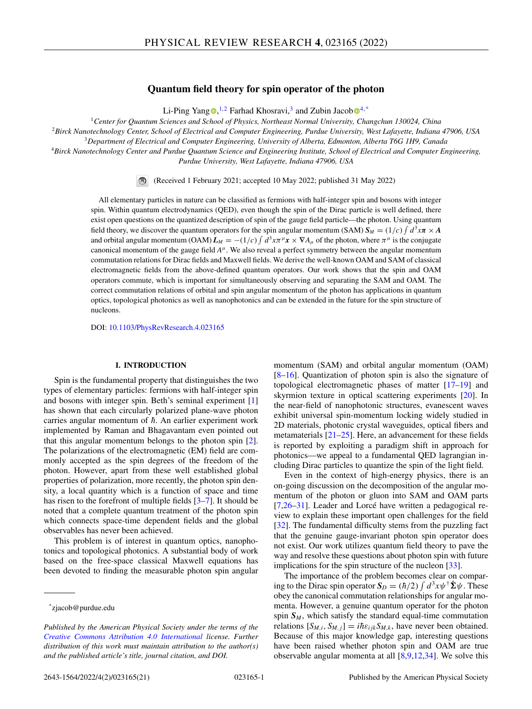# **Quantum field theory for spin operator of the photon**

Li-Ping Yang  $\mathbb{D},^{1,2}$  $\mathbb{D},^{1,2}$  $\mathbb{D},^{1,2}$  Farhad Khosravi,<sup>3</sup> and Zubin Jacob  $\mathbb{D}^{4,*}$  $\mathbb{D}^{4,*}$  $\mathbb{D}^{4,*}$ 

<sup>1</sup>*Center for Quantum Sciences and School of Physics, Northeast Normal University, Changchun 130024, China*

<sup>2</sup>*Birck Nanotechnology Center, School of Electrical and Computer Engineering, Purdue University, West Lafayette, Indiana 47906, USA*

<sup>3</sup>*Department of Electrical and Computer Engineering, University of Alberta, Edmonton, Alberta T6G 1H9, Canada*

<sup>4</sup>*Birck Nanotechnology Center and Purdue Quantum Science and Engineering Institute, School of Electrical and Computer Engineering,*

*Purdue University, West Lafayette, Indiana 47906, USA*



(Received 1 February 2021; accepted 10 May 2022; published 31 May 2022)

All elementary particles in nature can be classified as fermions with half-integer spin and bosons with integer spin. Within quantum electrodynamics (QED), even though the spin of the Dirac particle is well defined, there exist open questions on the quantized description of spin of the gauge field particle—the photon. Using quantum field theory, we discover the quantum operators for the spin angular momentum (SAM)  $S_M = (1/c) \int d^3x \pi \times A$ and orbital angular momentum (OAM)  $L_M = -(1/c) \int d^3x \pi^\mu x \times \nabla A_\mu$  of the photon, where  $\pi^\mu$  is the conjugate canonical momentum of the gauge field *A*<sup>μ</sup>. We also reveal a perfect symmetry between the angular momentum commutation relations for Dirac fields and Maxwell fields. We derive the well-known OAM and SAM of classical electromagnetic fields from the above-defined quantum operators. Our work shows that the spin and OAM operators commute, which is important for simultaneously observing and separating the SAM and OAM. The correct commutation relations of orbital and spin angular momentum of the photon has applications in quantum optics, topological photonics as well as nanophotonics and can be extended in the future for the spin structure of nucleons.

DOI: [10.1103/PhysRevResearch.4.023165](https://doi.org/10.1103/PhysRevResearch.4.023165)

### **I. INTRODUCTION**

Spin is the fundamental property that distinguishes the two types of elementary particles: fermions with half-integer spin and bosons with integer spin. Beth's seminal experiment [\[1\]](#page-18-0) has shown that each circularly polarized plane-wave photon carries angular momentum of  $\hbar$ . An earlier experiment work implemented by Raman and Bhagavantam even pointed out that this angular momentum belongs to the photon spin [\[2\]](#page-18-0). The polarizations of the electromagnetic (EM) field are commonly accepted as the spin degrees of the freedom of the photon. However, apart from these well established global properties of polarization, more recently, the photon spin density, a local quantity which is a function of space and time has risen to the forefront of multiple fields [\[3–7\]](#page-18-0). It should be noted that a complete quantum treatment of the photon spin which connects space-time dependent fields and the global observables has never been achieved.

This problem is of interest in quantum optics, nanophotonics and topological photonics. A substantial body of work based on the free-space classical Maxwell equations has been devoted to finding the measurable photon spin angular momentum (SAM) and orbital angular momentum (OAM) [\[8](#page-18-0)[–16\]](#page-19-0). Quantization of photon spin is also the signature of topological electromagnetic phases of matter [\[17–19\]](#page-19-0) and skyrmion texture in optical scattering experiments [\[20\]](#page-19-0). In the near-field of nanophotonic structures, evanescent waves exhibit universal spin-momentum locking widely studied in 2D materials, photonic crystal waveguides, optical fibers and metamaterials [\[21–25\]](#page-19-0). Here, an advancement for these fields is reported by exploiting a paradigm shift in approach for photonics—we appeal to a fundamental QED lagrangian including Dirac particles to quantize the spin of the light field.

Even in the context of high-energy physics, there is an on-going discussion on the decomposition of the angular momentum of the photon or gluon into SAM and OAM parts [\[7](#page-18-0)[,26–31\]](#page-19-0). Leader and Lorcé have written a pedagogical review to explain these important open challenges for the field [\[32\]](#page-19-0). The fundamental difficulty stems from the puzzling fact that the genuine gauge-invariant photon spin operator does not exist. Our work utilizes quantum field theory to pave the way and resolve these questions about photon spin with future implications for the spin structure of the nucleon [\[33\]](#page-19-0).

The importance of the problem becomes clear on comparing to the Dirac spin operator  $S_D = (\hbar/2) \int d^3x \psi^{\dagger} \hat{\Sigma} \psi$ . These obey the canonical commutation relationships for angular momenta. However, a genuine quantum operator for the photon spin  $S_M$ , which satisfy the standard equal-time commutation relations  $[S_{M,i}, S_{M,j}] = i\hbar \varepsilon_{ijk} S_{M,k}$ , have never been obtained. Because of this major knowledge gap, interesting questions have been raised whether photon spin and OAM are true observable angular momenta at all [\[8,9](#page-18-0)[,12,34\]](#page-19-0). We solve this

<sup>\*</sup>zjacob@purdue.edu

*Published by the American Physical Society under the terms of the [Creative Commons Attribution 4.0 International](https://creativecommons.org/licenses/by/4.0/) license. Further distribution of this work must maintain attribution to the author(s) and the published article's title, journal citation, and DOI.*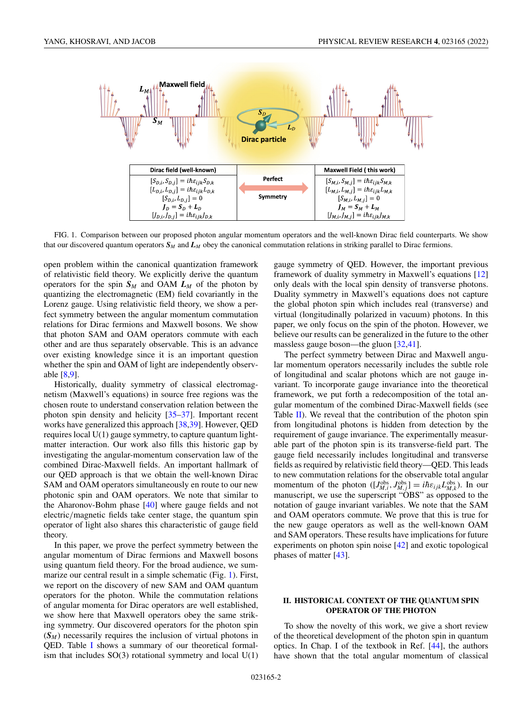<span id="page-1-0"></span>

FIG. 1. Comparison between our proposed photon angular momentum operators and the well-known Dirac field counterparts. We show that our discovered quantum operators *S<sup>M</sup>* and *L<sup>M</sup>* obey the canonical commutation relations in striking parallel to Dirac fermions.

open problem within the canonical quantization framework of relativistic field theory. We explicitly derive the quantum operators for the spin  $S_M$  and OAM  $L_M$  of the photon by quantizing the electromagnetic (EM) field covariantly in the Lorenz gauge. Using relativistic field theory, we show a perfect symmetry between the angular momentum commutation relations for Dirac fermions and Maxwell bosons. We show that photon SAM and OAM operators commute with each other and are thus separately observable. This is an advance over existing knowledge since it is an important question whether the spin and OAM of light are independently observable [\[8,9\]](#page-18-0).

Historically, duality symmetry of classical electromagnetism (Maxwell's equations) in source free regions was the chosen route to understand conservation relation between the photon spin density and helicity [\[35–37\]](#page-19-0). Important recent works have generalized this approach [\[38,39\]](#page-19-0). However, QED requires local U(1) gauge symmetry, to capture quantum lightmatter interaction. Our work also fills this historic gap by investigating the angular-momentum conservation law of the combined Dirac-Maxwell fields. An important hallmark of our QED approach is that we obtain the well-known Dirac SAM and OAM operators simultaneously en route to our new photonic spin and OAM operators. We note that similar to the Aharonov-Bohm phase [\[40\]](#page-19-0) where gauge fields and not electric/magnetic fields take center stage, the quantum spin operator of light also shares this characteristic of gauge field theory.

In this paper, we prove the perfect symmetry between the angular momentum of Dirac fermions and Maxwell bosons using quantum field theory. For the broad audience, we summarize our central result in a simple schematic (Fig. 1). First, we report on the discovery of new SAM and OAM quantum operators for the photon. While the commutation relations of angular momenta for Dirac operators are well established, we show here that Maxwell operators obey the same striking symmetry. Our discovered operators for the photon spin  $(S_M)$  necessarily requires the inclusion of virtual photons in QED. Table [I](#page-2-0) shows a summary of our theoretical formalism that includes  $SO(3)$  rotational symmetry and local  $U(1)$  gauge symmetry of QED. However, the important previous framework of duality symmetry in Maxwell's equations [\[12\]](#page-19-0) only deals with the local spin density of transverse photons. Duality symmetry in Maxwell's equations does not capture the global photon spin which includes real (transverse) and virtual (longitudinally polarized in vacuum) photons. In this paper, we only focus on the spin of the photon. However, we believe our results can be generalized in the future to the other massless gauge boson—the gluon [\[32,41\]](#page-19-0).

The perfect symmetry between Dirac and Maxwell angular momentum operators necessarily includes the subtle role of longitudinal and scalar photons which are not gauge invariant. To incorporate gauge invariance into the theoretical framework, we put forth a redecomposition of the total angular momentum of the combined Dirac-Maxwell fields (see Table  $II$ ). We reveal that the contribution of the photon spin from longitudinal photons is hidden from detection by the requirement of gauge invariance. The experimentally measurable part of the photon spin is its transverse-field part. The gauge field necessarily includes longitudinal and transverse fields as required by relativistic field theory—QED. This leads to new commutation relations for the observable total angular momentum of the photon  $([J_{M,i}^{obs}, J_{M,j}^{obs}] = i\hbar \varepsilon_{ijk} L_{M,k}^{obs}$ ). In our manuscript, we use the superscript "OBS" as opposed to the notation of gauge invariant variables. We note that the SAM and OAM operators commute. We prove that this is true for the new gauge operators as well as the well-known OAM and SAM operators. These results have implications for future experiments on photon spin noise [\[42\]](#page-19-0) and exotic topological phases of matter [\[43\]](#page-19-0).

## **II. HISTORICAL CONTEXT OF THE QUANTUM SPIN OPERATOR OF THE PHOTON**

To show the novelty of this work, we give a short review of the theoretical development of the photon spin in quantum optics. In Chap. I of the textbook in Ref. [\[44\]](#page-19-0), the authors have shown that the total angular momentum of classical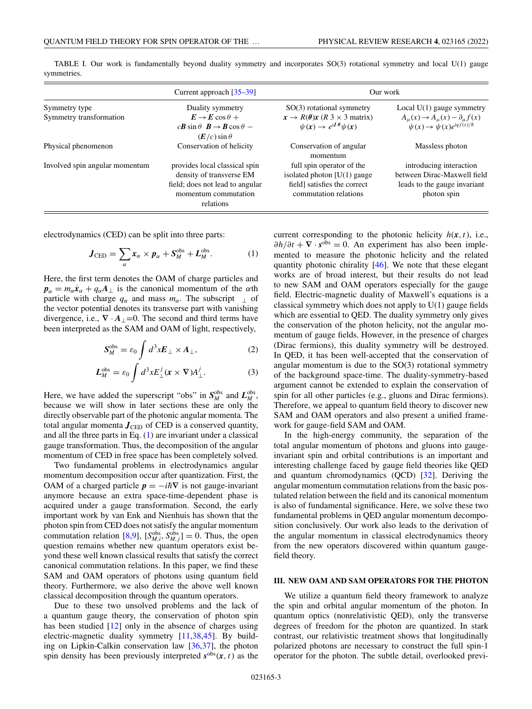|                                | Current approach $[35-39]$                                                    |                                                       | Our work                                                 |
|--------------------------------|-------------------------------------------------------------------------------|-------------------------------------------------------|----------------------------------------------------------|
| Symmetry type                  | Duality symmetry                                                              | $SO(3)$ rotational symmetry                           | Local $U(1)$ gauge symmetry                              |
| Symmetry transformation        | $E \rightarrow E \cos \theta +$                                               | $x \rightarrow R(\theta)x$ (R 3 × 3 matrix)           | $A_{\mu}(x) \rightarrow A_{\mu}(x) - \partial_{\mu}f(x)$ |
|                                | $c\mathbf{B}$ sin $\theta$ $\mathbf{B} \rightarrow \mathbf{B}$ cos $\theta$ – | $\psi(x) \rightarrow e^{iJ \cdot \theta} \psi(x)$     | $\psi(x) \rightarrow \psi(x)e^{iqf(x)/\hbar}$            |
|                                | $(E/c)$ sin $\theta$                                                          |                                                       |                                                          |
| Physical phenomenon            | Conservation of helicity                                                      | Conservation of angular<br>momentum                   | Massless photon                                          |
| Involved spin angular momentum | provides local classical spin                                                 | full spin operator of the                             | introducing interaction                                  |
|                                | density of transverse EM                                                      | isolated photon $[U(1)]$ gauge                        | between Dirac-Maxwell field                              |
|                                | field; does not lead to angular<br>momentum commutation<br>relations          | field] satisfies the correct<br>commutation relations | leads to the gauge invariant<br>photon spin              |

<span id="page-2-0"></span>TABLE I. Our work is fundamentally beyond duality symmetry and incorporates SO(3) rotational symmetry and local U(1) gauge symmetries.

electrodynamics (CED) can be split into three parts:

$$
J_{\text{CED}} = \sum_{\alpha} x_{\alpha} \times p_{\alpha} + S_M^{\text{obs}} + L_M^{\text{obs}}.
$$
 (1)

Here, the first term denotes the OAM of charge particles and  $p_{\alpha} = m_{\alpha} \dot{x}_{\alpha} + q_{\alpha} A_{\perp}$  is the canonical momentum of the  $\alpha$ th particle with charge  $q_\alpha$  and mass  $m_\alpha$ . The subscript <sub>⊥</sub> of the vector potential denotes its transverse part with vanishing divergence, i.e.,  $\nabla \cdot \mathbf{A}_{\perp} = 0$ . The second and third terms have been interpreted as the SAM and OAM of light, respectively,

$$
S_M^{\text{obs}} = \varepsilon_0 \int d^3x E_\perp \times A_\perp, \tag{2}
$$

$$
L_M^{\text{obs}} = \varepsilon_0 \int d^3x E_\perp^j(\mathbf{x} \times \nabla) A_\perp^j.
$$
 (3)

Here, we have added the superscript "obs" in  $S_M^{\text{obs}}$  and  $L_M^{\text{obs}}$ , because we will show in later sections these are only the directly observable part of the photonic angular momenta. The total angular momenta  $J_{\text{CED}}$  of CED is a conserved quantity, and all the three parts in Eq. (1) are invariant under a classical gauge transformation. Thus, the decomposition of the angular momentum of CED in free space has been completely solved.

Two fundamental problems in electrodynamics angular momentum decomposition occur after quantization. First, the OAM of a charged particle  $p = -i\hbar \nabla$  is not gauge-invariant anymore because an extra space-time-dependent phase is acquired under a gauge transformation. Second, the early important work by van Enk and Nienhuis has shown that the photon spin from CED does not satisfy the angular momentum commutation relation [\[8,9\]](#page-18-0),  $[S_{M,i}^{obs}, S_{M,j}^{obs}] = 0$ . Thus, the open question remains whether new quantum operators exist beyond these well known classical results that satisfy the correct canonical commutation relations. In this paper, we find these SAM and OAM operators of photons using quantum field theory. Furthermore, we also derive the above well known classical decomposition through the quantum operators.

Due to these two unsolved problems and the lack of a quantum gauge theory, the conservation of photon spin has been studied [\[12\]](#page-19-0) only in the absence of charges using electric-magnetic duality symmetry [\[11](#page-18-0)[,38,45\]](#page-19-0). By building on Lipkin-Calkin conservation law [\[36,37\]](#page-19-0), the photon spin density has been previously interpreted  $s^{obs}(x, t)$  as the current corresponding to the photonic helicity  $h(x, t)$ , i.e.,  $\partial h/\partial t + \nabla \cdot s^{\text{obs}} = 0$ . An experiment has also been implemented to measure the photonic helicity and the related quantity photonic chirality [\[46\]](#page-19-0). We note that these elegant works are of broad interest, but their results do not lead to new SAM and OAM operators especially for the gauge field. Electric-magnetic duality of Maxwell's equations is a classical symmetry which does not apply to U(1) gauge fields which are essential to QED. The duality symmetry only gives the conservation of the photon helicity, not the angular momentum of gauge fields. However, in the presence of charges (Dirac fermions), this duality symmetry will be destroyed. In QED, it has been well-accepted that the conservation of angular momentum is due to the SO(3) rotational symmetry of the background space-time. The duality-symmetry-based argument cannot be extended to explain the conservation of spin for all other particles (e.g., gluons and Dirac fermions). Therefore, we appeal to quantum field theory to discover new SAM and OAM operators and also present a unified framework for gauge-field SAM and OAM.

In the high-energy community, the separation of the total angular momentum of photons and gluons into gaugeinvariant spin and orbital contributions is an important and interesting challenge faced by gauge field theories like QED and quantum chromodynamics (QCD) [\[32\]](#page-19-0). Deriving the angular momentum commutation relations from the basic postulated relation between the field and its canonical momentum is also of fundamental significance. Here, we solve these two fundamental problems in QED angular momentum decomposition conclusively. Our work also leads to the derivation of the angular momentum in classical electrodynamics theory from the new operators discovered within quantum gaugefield theory.

#### **III. NEW OAM AND SAM OPERATORS FOR THE PHOTON**

We utilize a quantum field theory framework to analyze the spin and orbital angular momentum of the photon. In quantum optics (nonrelativistic QED), only the transverse degrees of freedom for the photon are quantized. In stark contrast, our relativistic treatment shows that longitudinally polarized photons are necessary to construct the full spin-1 operator for the photon. The subtle detail, overlooked previ-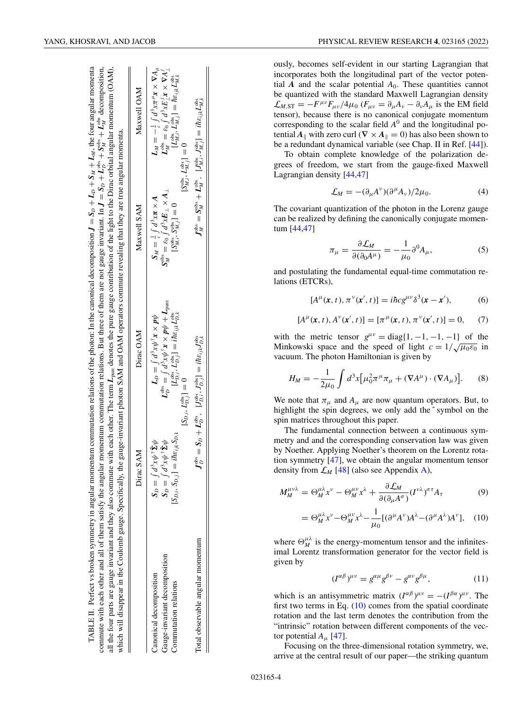<span id="page-3-0"></span>

|                                                                                   |                                                                                                                                                                  | TABLE II. Perfect vs broken symmetry in angular momentum commutation relations of the photon: In the canonical decomposition $J = S_D + L_D + S_M + L_M$ , the four angular momenta<br>commute with each other and all of them satisfy the angular momentum commutation relations. But three of them are not gauge invariant. In $J = S_D + L_{\rm obs}^{\rm obs} + L_{\rm sys}^{\rm obs}$ decomposition,<br>all the four parts are gauge invariant and they also commute with each other. The term $L_{pure}$ denotes the pure gauge contribution of the light to the Dirac orbital angular momentum (OAM),<br>which will disappear in the Coulomb gauge. Specifically, the gauge-invariant photon SAM and OAM operators commute revealing that they are true angular momenta. |                                                                                                                                                                      |                                                                                                                                                                                                                                                                                                                                                                                                            |
|-----------------------------------------------------------------------------------|------------------------------------------------------------------------------------------------------------------------------------------------------------------|---------------------------------------------------------------------------------------------------------------------------------------------------------------------------------------------------------------------------------------------------------------------------------------------------------------------------------------------------------------------------------------------------------------------------------------------------------------------------------------------------------------------------------------------------------------------------------------------------------------------------------------------------------------------------------------------------------------------------------------------------------------------------------|----------------------------------------------------------------------------------------------------------------------------------------------------------------------|------------------------------------------------------------------------------------------------------------------------------------------------------------------------------------------------------------------------------------------------------------------------------------------------------------------------------------------------------------------------------------------------------------|
|                                                                                   | Dirac SAM                                                                                                                                                        | Dirac OAM                                                                                                                                                                                                                                                                                                                                                                                                                                                                                                                                                                                                                                                                                                                                                                       | Maxwell SAM                                                                                                                                                          | Maxwell OAM                                                                                                                                                                                                                                                                                                                                                                                                |
| Gauge-invariant decomposition<br>Canonical decomposition<br>Commutation relations | $[S_{D,i},S_{D,i}] = i\hbar\varepsilon_{iik}S_{D,k}$<br>$S_D = \int d^3x \psi^{\dagger} \hat{\Sigma} \psi$<br>$S_D = \int d^3x \psi^{\dagger} \hat{\Sigma} \psi$ | $L^{\rm obs}_{\rm D} = \int d^3x \psi^\dagger {\bm x} \times {\bm p} \psi + {\bm L}_{\rm pure}$<br>$[L_{D,i}^{\text{obs}}, L_{D,j}^{\text{obs}}] = i\hbar \varepsilon_{ijk} L_{D,k}^{\text{obs}}$<br>$\boldsymbol{L}_D = \int d^3x \psi^\dagger \boldsymbol{x} \times \boldsymbol{p} \psi$<br>$[S_{D,i}, L_{D,i}^{obs}] = 0$                                                                                                                                                                                                                                                                                                                                                                                                                                                    | $S_M^{\rm obs} = \varepsilon_0 \int d^3x \bm{E}_{\perp} \times \bm{A}_{\perp}$<br>$S_M = \frac{1}{2} \int d^3x \pi \times A$<br>$[S_{M,i}^{obs}, S_{M,i}^{obs}] = 0$ | $\boldsymbol{L}_M = -\frac{1}{c}\int d^3x \pi^\mu \boldsymbol{x} \times \boldsymbol{\nabla} A_\mu$<br>$\boldsymbol{L}_{M}^{\text{obs}} = \varepsilon_0 \int d^3x E_{\perp}^{\dagger} \boldsymbol{x} \times \boldsymbol{\nabla} A_{\perp}^{\dagger}$<br>$[L_{M,i}^{\text{obs}}, L_{M,j}^{\text{obs}}] = \hbar \varepsilon_{ijk} L_{M,k}^{\text{obs}}$<br>$[S_{M,i}^{\text{obs}}, L_{M,j}^{\text{obs}}] = 0$ |
| Total observable angular momentum                                                 |                                                                                                                                                                  | $J^{\rm obs}_D = S_D + L^{\rm obs}_D, \ \ [J^{\rm obs}_{D,i}, J^{\rm obs}_{D,j}] = i \hbar \varepsilon_{ijk} J^{\rm obs}_{D,k}$                                                                                                                                                                                                                                                                                                                                                                                                                                                                                                                                                                                                                                                 |                                                                                                                                                                      | $J_M^{\rm obs} = S_M^{\rm obs} + L_M^{\rm obs}, \ \ [J_{M,i}^{\rm obs}, J_{M,j}^{\rm obs}] = i \hbar \varepsilon_{ijk} L_{M,k}^{\rm obs}$                                                                                                                                                                                                                                                                  |
|                                                                                   |                                                                                                                                                                  |                                                                                                                                                                                                                                                                                                                                                                                                                                                                                                                                                                                                                                                                                                                                                                                 |                                                                                                                                                                      |                                                                                                                                                                                                                                                                                                                                                                                                            |

ously, becomes self-evident in our starting Lagrangian that incorporates both the longitudinal part of the vector potential  $\vec{A}$  and the scalar potential  $A_0$ . These quantities cannot be quantized with the standard Maxwell Lagrangian density  $\mathcal{L}_{M,ST} = -F^{\mu\nu}F_{\mu\nu}/4\mu_0$  ( $F_{\mu\nu} = \partial_\mu A_\nu - \partial_\nu A_\mu$  is the EM field tensor), because there is no canonical conjugate momentum corresponding to the scalar field  $A<sup>0</sup>$  and the longitudinal potential  $A_{\parallel}$  with zero curl ( $\nabla \times A_{\parallel} = 0$ ) has also been shown to be a redundant dynamical variable (see Chap. II in Ref. [\[44\]](#page-19-0)).

To obtain complete knowledge of the polarization degrees of freedom, we start from the gauge-fixed Maxwell Lagrangian density [\[44,47\]](#page-19-0)

$$
\mathcal{L}_M = -(\partial_\mu A^\nu)(\partial^\mu A_\nu)/2\mu_0. \tag{4}
$$

The covariant quantization of the photon in the Lorenz gauge can be realized by defining the canonically conjugate momentum [\[44,47\]](#page-19-0)

$$
\pi_{\mu} = \frac{\partial \mathcal{L}_M}{\partial (\partial_0 A^{\mu})} = -\frac{1}{\mu_0} \partial^0 A_{\mu}, \tag{5}
$$

and postulating the fundamental equal-time commutation relations (ETCRs),

$$
[A^{\mu}(\mathbf{x}, t), \pi^{\nu}(\mathbf{x}', t)] = i\hbar c g^{\mu\nu} \delta^{3}(\mathbf{x} - \mathbf{x}'), \quad (6)
$$

$$
[A^{\mu}(\mathbf{x},t), A^{\nu}(\mathbf{x}',t)] = [\pi^{\mu}(\mathbf{x},t), \pi^{\nu}(\mathbf{x}',t)] = 0, \quad (7)
$$

with the metric tensor  $g^{\mu\nu} = \text{diag}\{1, -1, -1, -1\}$  of the Minkowski space and the speed of light  $c = 1/\sqrt{\mu_0 \varepsilon_0}$  in vacuum. The photon Hamiltonian is given by

$$
H_M = -\frac{1}{2\mu_0} \int d^3x \big[ \mu_0^2 \pi^\mu \pi_\mu + (\nabla A^\mu) \cdot (\nabla A_\mu) \big]. \tag{8}
$$

We note that  $\pi_{\mu}$  and  $A_{\mu}$  are now quantum operators. But, to highlight the spin degrees, we only add the <sup>n</sup> symbol on the spin matrices throughout this paper.

The fundamental connection between a continuous symmetry and and the corresponding conservation law was given by Noether. Applying Noether's theorem on the Lorentz rotation symmetry [\[47\]](#page-19-0), we obtain the angular momentum tensor density from  $\mathcal{L}_M$  [\[48\]](#page-19-0) (also see Appendix [A\)](#page-7-0),

$$
M_M^{\mu\nu\lambda} = \Theta_M^{\mu\lambda} x^{\nu} - \Theta_M^{\mu\nu} x^{\lambda} + \frac{\partial \mathcal{L}_M}{\partial (\partial_{\mu} A^{\sigma})} (I^{\nu\lambda})^{\sigma\tau} A_{\tau}
$$
(9)

$$
= \Theta_M^{\mu\lambda} x^{\nu} - \Theta_M^{\mu\nu} x^{\lambda} - \frac{1}{\mu_0} [(\partial^{\mu} A^{\nu}) A^{\lambda} - (\partial^{\mu} A^{\lambda}) A^{\nu}], \quad (10)
$$

where  $\Theta_M^{\mu\lambda}$  is the energy-momentum tensor and the infinitesimal Lorentz transformation generator for the vector field is given by

$$
(I^{\alpha\beta})^{\mu\nu} = g^{\alpha\mu}g^{\beta\nu} - g^{\alpha\nu}g^{\beta\mu},\tag{11}
$$

which is an antisymmetric matrix  $(I^{\alpha\beta})^{\mu\nu} = -(I^{\beta\alpha})^{\mu\nu}$ . The first two terms in Eq.  $(10)$  comes from the spatial coordinate rotation and the last term denotes the contribution from the "intrinsic" rotation between different components of the vector potential  $A_\mu$  [\[47\]](#page-19-0).

Focusing on the three-dimensional rotation symmetry, we, arrive at the central result of our paper—the striking quantum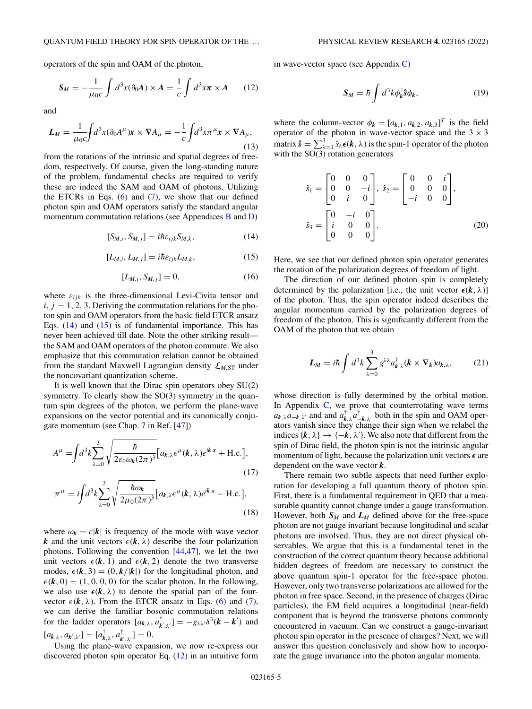<span id="page-4-0"></span>operators of the spin and OAM of the photon,

$$
S_M = -\frac{1}{\mu_0 c} \int d^3x (\partial_0 A) \times A = \frac{1}{c} \int d^3x \pi \times A \qquad (12)
$$

and

$$
L_M = \frac{1}{\mu_0 c} \int d^3x (\partial_0 A^\mu) \mathbf{x} \times \nabla A_\mu = -\frac{1}{c} \int d^3x \pi^\mu \mathbf{x} \times \nabla A_\mu,
$$
\n(13)

from the rotations of the intrinsic and spatial degrees of freedom, respectively. Of course, given the long-standing nature of the problem, fundamental checks are required to verify these are indeed the SAM and OAM of photons. Utilizing the ETCRs in Eqs.  $(6)$  and  $(7)$ , we show that our defined photon spin and OAM operators satisfy the standard angular momentum commutation relations (see Appendices [B](#page-7-0) and [D\)](#page-11-0)

$$
[S_{M,i}, S_{M,j}] = i\hbar \varepsilon_{ijk} S_{M,k}, \qquad (14)
$$

$$
[L_{M,i}, L_{M,j}] = i\hbar \varepsilon_{ijk} L_{M,k}, \qquad (15)
$$

$$
[L_{M,i}, S_{M,j}] = 0,\t(16)
$$

where  $\varepsilon_{ijk}$  is the three-dimensional Levi-Civita tensor and  $i, j = 1, 2, 3$ . Deriving the commutation relations for the photon spin and OAM operators from the basic field ETCR ansatz Eqs. (14) and (15) is of fundamental importance. This has never been achieved till date. Note the other striking result the SAM and OAM operators of the photon commute. We also emphasize that this commutation relation cannot be obtained from the standard Maxwell Lagrangian density  $\mathcal{L}_{M,ST}$  under the noncovariant quantization scheme.

It is well known that the Dirac spin operators obey SU(2) symmetry. To clearly show the  $SO(3)$  symmetry in the quantum spin degrees of the photon, we perform the plane-wave expansions on the vector potential and its canonically conjugate momentum (see Chap. 7 in Ref. [\[47\]](#page-19-0))

$$
A^{\mu} = \int d^3k \sum_{\lambda=0}^3 \sqrt{\frac{\hbar}{2\varepsilon_0 \omega_k (2\pi)^3}} \Big[ a_{k,\lambda} \epsilon^{\mu}(k,\lambda) e^{ik \cdot x} + \text{H.c.} \Big],
$$
\n
$$
\pi^{\mu} = i \int d^3k \sum_{\lambda=0}^3 \sqrt{\frac{\hbar \omega_k}{2\mu_0 (2\pi)^3}} \Big[ a_{k,\lambda} \epsilon^{\mu}(k,\lambda) e^{ik \cdot x} - \text{H.c.} \Big],
$$
\n(17)

where  $\omega_k = c|k|$  is frequency of the mode with wave vector *k* and the unit vectors  $\epsilon(k,\lambda)$  describe the four polarization photons. Following the convention [\[44,47\]](#page-19-0), we let the two unit vectors  $\epsilon(k, 1)$  and  $\epsilon(k, 2)$  denote the two transverse modes,  $\epsilon(\mathbf{k}, 3) = (0, \mathbf{k}/|\mathbf{k}|)$  for the longitudinal photon, and  $\epsilon(\mathbf{k}, 0) = (1, 0, 0, 0)$  for the scalar photon. In the following, we also use  $\epsilon(k,\lambda)$  to denote the spatial part of the fourvector  $\epsilon(\mathbf{k},\lambda)$ . From the ETCR ansatz in Eqs. [\(6\)](#page-3-0) and [\(7\)](#page-3-0), we can derive the familiar bosonic commutation relations for the ladder operators  $[a_{k,\lambda}, a_{k',\lambda'}^{\dagger}] = -g_{\lambda\lambda'}\delta^3(\boldsymbol{k} - \boldsymbol{k}')$  and  $[a_{k,\lambda}, a_{k',\lambda'}] = [a_{k,\lambda}^{\dagger}, a_{k',\lambda'}^{\dagger}] = 0.$ 

Using the plane-wave expansion, we now re-express our discovered photon spin operator Eq. (12) in an intuitive form in wave-vector space (see Appendix [C\)](#page-8-0)

$$
S_M = \hbar \int d^3k \phi_k^{\dagger} \hat{s} \phi_k, \qquad (19)
$$

where the column-vector  $\phi_k = [a_{k,1}, a_{k,2}, a_{k,3}]^T$  is the field operator of the photon in wave-vector space and the  $3 \times 3$ matrix  $\hat{s} = \sum_{\lambda=1}^{3} \hat{s}_{\lambda} \epsilon(k, \lambda)$  is the spin-1 operator of the photon with the SO(3) rotation generators

$$
\hat{s}_1 = \begin{bmatrix} 0 & 0 & 0 \\ 0 & 0 & -i \\ 0 & i & 0 \end{bmatrix}, \ \hat{s}_2 = \begin{bmatrix} 0 & 0 & i \\ 0 & 0 & 0 \\ -i & 0 & 0 \end{bmatrix},
$$

$$
\hat{s}_3 = \begin{bmatrix} 0 & -i & 0 \\ i & 0 & 0 \\ 0 & 0 & 0 \end{bmatrix}.
$$
 (20)

Here, we see that our defined photon spin operator generates the rotation of the polarization degrees of freedom of light.

The direction of our defined photon spin is completely determined by the polarization [i.e., the unit vector  $\epsilon(k,\lambda)$ ] of the photon. Thus, the spin operator indeed describes the angular momentum carried by the polarization degrees of freedom of the photon. This is significantly different from the OAM of the photon that we obtain

$$
L_M = i\hbar \int d^3k \sum_{\lambda=0}^3 g^{\lambda\lambda} a_{k,\lambda}^\dagger(\mathbf{k} \times \nabla_k) a_{k,\lambda}, \qquad (21)
$$

whose direction is fully determined by the orbital motion. In Appendix  $C$ , we prove that counterrotating wave terms  $a_{k,\lambda} a_{-k,\lambda'}$  and and  $a_{k,\lambda}^{\dagger} a_{-k,\lambda'}^{\dagger}$  both in the spin and OAM operators vanish since they change their sign when we relabel the indices  $\{k, \lambda\} \rightarrow \{-k, \lambda'\}$ . We also note that different from the spin of Dirac field, the photon spin is not the intrinsic angular momentum of light, because the polarization unit vectors  $\epsilon$  are dependent on the wave vector *k*.

There remain two subtle aspects that need further exploration for developing a full quantum theory of photon spin. First, there is a fundamental requirement in QED that a measurable quantity cannot change under a gauge transformation. However, both  $S_M$  and  $L_M$  defined above for the free-space photon are not gauge invariant because longitudinal and scalar photons are involved. Thus, they are not direct physical observables. We argue that this is a fundamental tenet in the construction of the correct quantum theory because additional hidden degrees of freedom are necessary to construct the above quantum spin-1 operator for the free-space photon. However, only two transverse polarizations are allowed for the photon in free space. Second, in the presence of charges (Dirac particles), the EM field acquires a longitudinal (near-field) component that is beyond the transverse photons commonly encountered in vacuum. Can we construct a gauge-invariant photon spin operator in the presence of charges? Next, we will answer this question conclusively and show how to incorporate the gauge invariance into the photon angular momenta.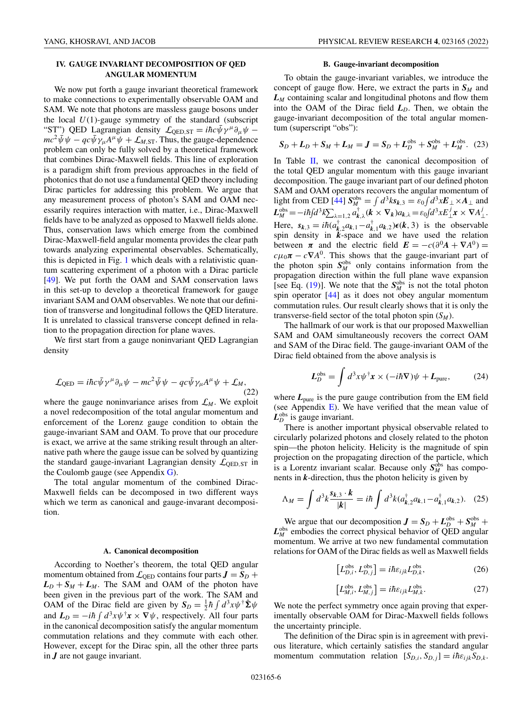# <span id="page-5-0"></span>**IV. GAUGE INVARIANT DECOMPOSITION OF QED ANGULAR MOMENTUM**

We now put forth a gauge invariant theoretical framework to make connections to experimentally observable OAM and SAM. We note that photons are massless gauge bosons under the local  $U(1)$ -gauge symmetry of the standard (subscript "ST") QED Lagrangian density  $\mathcal{L}_{\text{QED,ST}} = i\hbar c \bar{\psi} \gamma^{\mu} \partial_{\mu} \psi$  –  $mc^2 \bar{\psi} \psi - qc \bar{\psi} \gamma_{\mu} A^{\mu} \psi + \mathcal{L}_{M,ST}$ . Thus, the gauge-dependence problem can only be fully solved by a theoretical framework that combines Dirac-Maxwell fields. This line of exploration is a paradigm shift from previous approaches in the field of photonics that do not use a fundamental QED theory including Dirac particles for addressing this problem. We argue that any measurement process of photon's SAM and OAM necessarily requires interaction with matter, i.e., Dirac-Maxwell fields have to be analyzed as opposed to Maxwell fields alone. Thus, conservation laws which emerge from the combined Dirac-Maxwell-field angular momenta provides the clear path towards analyzing experimental observables. Schematically, this is depicted in Fig. [1](#page-1-0) which deals with a relativistic quantum scattering experiment of a photon with a Dirac particle [\[49\]](#page-19-0). We put forth the OAM and SAM conservation laws in this set-up to develop a theoretical framework for gauge invariant SAM and OAM observables. We note that our definition of transverse and longitudinal follows the QED literature. It is unrelated to classical transverse concept defined in relation to the propagation direction for plane waves.

We first start from a gauge noninvariant QED Lagrangian density

$$
\mathcal{L}_{\text{QED}} = i\hbar c \bar{\psi} \gamma^{\mu} \partial_{\mu} \psi - mc^{2} \bar{\psi} \psi - qc \bar{\psi} \gamma_{\mu} A^{\mu} \psi + \mathcal{L}_{M}, \tag{22}
$$

where the gauge noninvariance arises from  $\mathcal{L}_M$ . We exploit a novel redecomposition of the total angular momentum and enforcement of the Lorenz gauge condition to obtain the gauge-invariant SAM and OAM. To prove that our procedure is exact, we arrive at the same striking result through an alternative path where the gauge issue can be solved by quantizing the standard gauge-invariant Lagrangian density  $\mathcal{L}_{\text{OED,ST}}$  in the Coulomb gauge (see Appendix  $\mathbf{G}$ ).

The total angular momentum of the combined Dirac-Maxwell fields can be decomposed in two different ways which we term as canonical and gauge-invarant decomposition.

#### **A. Canonical decomposition**

According to Noether's theorem, the total QED angular momentum obtained from  $\mathcal{L}_{\text{QED}}$  contains four parts  $\mathbf{J} = \mathbf{S}_D + \mathbf{S}_D$  $L_D + S_M + L_M$ . The SAM and OAM of the photon have been given in the previous part of the work. The SAM and OAM of the Dirac field are given by  $S_D = \frac{1}{2} \hbar \int d^3x \psi^{\dagger} \hat{\Sigma} \psi$ and  $L_D = -i\hbar \int d^3x \psi^{\dagger} x \times \nabla \psi$ , respectively. All four parts in the canonical decomposition satisfy the angular momentum commutation relations and they commute with each other. However, except for the Dirac spin, all the other three parts in *J* are not gauge invariant.

#### **B. Gauge-invariant decomposition**

To obtain the gauge-invariant variables, we introduce the concept of gauge flow. Here, we extract the parts in  $S_M$  and *L<sup>M</sup>* containing scalar and longitudinal photons and flow them into the OAM of the Dirac field *LD*. Then, we obtain the gauge-invariant decomposition of the total angular momentum (superscript "obs"):

$$
S_D + L_D + S_M + L_M = J = S_D + L_D^{\text{obs}} + S_M^{\text{obs}} + L_M^{\text{obs}}.
$$
 (23)

In Table [II,](#page-3-0) we contrast the canonical decomposition of the total QED angular momentum with this gauge invariant decomposition. The gauge invariant part of our defined photon SAM and OAM operators recovers the angular momentum of light from CED [\[44\]](#page-19-0)  $S_M^{\text{obs}} = \int d^3k s_{k,3} = \varepsilon_0 \int d^3x E_\perp \times A_\perp$  and  $L_M^{\text{obs}} = -i\hbar \int d^3k \sum_{\lambda=1,2} a_{\mathbf{k},\lambda}^\dagger (\mathbf{k} \times \nabla_{\mathbf{k}}) a_{\mathbf{k},\lambda} = \varepsilon_0 \int d^3x E_\perp^j \mathbf{x} \times \nabla A_\perp^j$ . Here,  $s_{k,3} = i\hbar(a_{k,2}^{\dagger}a_{k,1} - a_{k,1}^{\dagger}a_{k,2})\epsilon(k,3)$  is the observable spin density in  $k$ -space and we have used the relation between  $\pi$  and the electric field  $E = -c(\partial^0 A + \nabla A^0)$  $c\mu_0\pi - c\nabla A^0$ . This shows that the gauge-invariant part of the photon spin  $S_M^{obs}$  only contains information from the propagation direction within the full plane wave expansion [see Eq. [\(19\)](#page-4-0)]. We note that the  $S_M^{\text{obs}}$  is not the total photon spin operator [\[44\]](#page-19-0) as it does not obey angular momentum commutation rules. Our result clearly shows that it is only the transverse-field sector of the total photon spin  $(S_M)$ .

The hallmark of our work is that our proposed Maxwellian SAM and OAM simultaneously recovers the correct OAM and SAM of the Dirac field. The gauge-invariant OAM of the Dirac field obtained from the above analysis is

$$
L_D^{\text{obs}} = \int d^3x \psi^\dagger x \times (-i\hbar \nabla)\psi + L_{\text{pure}},\tag{24}
$$

where  $L_{\text{pure}}$  is the pure gauge contribution from the EM field (see Appendix [E\)](#page-12-0). We have verified that the mean value of  $L_D^{\text{obs}}$  is gauge invariant.

There is another important physical observable related to circularly polarized photons and closely related to the photon spin—the photon helicity. Helicity is the magnitude of spin projection on the propagating direction of the particle, which is a Lorentz invariant scalar. Because only  $S_M^{\text{obs}}$  has components in *-direction, thus the photon helicity is given by* 

$$
\Lambda_M = \int d^3k \frac{s_{k,3} \cdot k}{|k|} = i\hbar \int d^3k (a_{k,2}^\dagger a_{k,1} - a_{k,1}^\dagger a_{k,2}). \tag{25}
$$

We argue that our decomposition  $J = S_D + L_D^{\text{obs}} + S_M^{\text{obs}} +$  $L_M^{\text{obs}}$  embodies the correct physical behavior of QED angular momentum. We arrive at two new fundamental commutation relations for OAM of the Dirac fields as well as Maxwell fields

$$
[L_{D,i}^{\text{obs}}, L_{D,j}^{\text{obs}}] = i\hbar \varepsilon_{ijk} L_{D,k}^{\text{obs}},\tag{26}
$$

$$
[L_{M,i}^{\text{obs}}, L_{M,j}^{\text{obs}}] = i\hbar \varepsilon_{ijk} L_{M,k}^{\text{obs}}.
$$
 (27)

We note the perfect symmetry once again proving that experimentally observable OAM for Dirac-Maxwell fields follows the uncertainty principle.

The definition of the Dirac spin is in agreement with previous literature, which certainly satisfies the standard angular momentum commutation relation  $[S_{D,i}, S_{D,j}] = i\hbar \varepsilon_{ijk} S_{D,k}$ .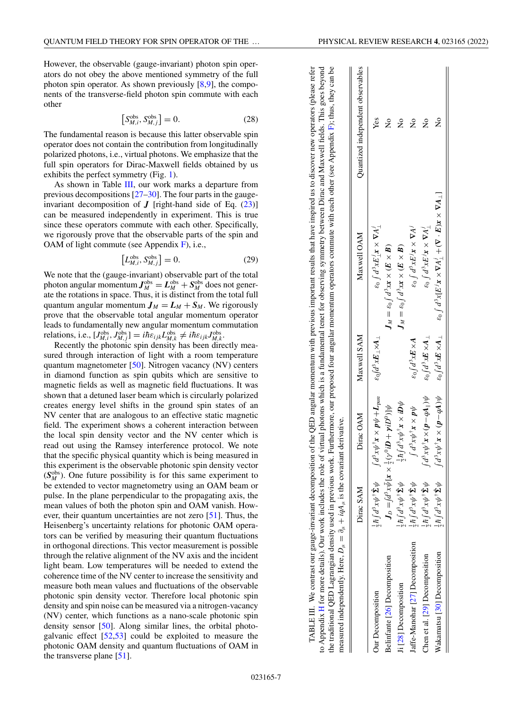<span id="page-6-0"></span>However, the observable (gauge-invariant) photon spin operators do not obey the above mentioned symmetry of the full photon spin operator. As shown previously [\[8,9\]](#page-18-0), the components of the transverse-field photon spin commute with each other

$$
\left[S_{M,i}^{\text{obs}}, S_{M,j}^{\text{obs}}\right] = 0. \tag{28}
$$

The fundamental reason is because this latter observable spin operator does not contain the contribution from longitudinally polarized photons, i.e., virtual photons. We emphasize that the full spin operators for Dirac-Maxwell fields obtained by us exhibits the perfect symmetry (Fig. [1\)](#page-1-0).

As shown in Table III, our work marks a departure from previous decompositions [\[27–30\]](#page-19-0). The four parts in the gaugeinvariant decomposition of  $J$  [right-hand side of Eq.  $(23)$ ] can be measured independently in experiment. This is true since these operators commute with each other. Specifically, we rigorously prove that the observable parts of the spin and OAM of light commute (see Appendix [F\)](#page-15-0), i.e.,

$$
\left[L_{M,i}^{\text{obs}}, S_{M,j}^{\text{obs}}\right] = 0. \tag{29}
$$

We note that the (gauge-invariant) observable part of the total photon angular momentum  $J_M^{\rm obs} = L_M^{\rm obs} + S_M^{\rm obs}$  does not generate the rotations in space. Thus, it is distinct from the total full quantum angular momentum  $J_M = L_M + S_M$ . We rigorously prove that the observable total angular momentum operator leads to fundamentally new angular momentum commutation  $\text{relations, i.e., } [J_{M,i}^{\text{obs}}, J_{M,j}^{\text{obs}}] = i\hbar\varepsilon_{ijk}L_{M,k}^{\text{obs}} \neq i\hbar\varepsilon_{ijk}J_{M,k}^{\text{obs}}.$ 

Recently the photonic spin density has been directly measured through interaction of light with a room temperature quantum magnetometer [\[50\]](#page-19-0). Nitrogen vacancy (NV) centers in diamond function as spin qubits which are sensitive to magnetic fields as well as magnetic field fluctuations. It was shown that a detuned laser beam which is circularly polarized creates energy level shifts in the ground spin states of an NV center that are analogous to an effective static magnetic field. The experiment shows a coherent interaction between the local spin density vector and the NV center which is read out using the Ramsey interference protocol. We note that the specific physical quantity which is being measured in this experiment is the observable photonic spin density vector  $(S_M^{\text{obs}})$ . One future possibility is for this same experiment to be extended to vector magnetometry using an OAM beam or pulse. In the plane perpendicular to the propagating axis, the mean values of both the photon spin and OAM vanish. However, their quantum uncertainties are not zero [\[51\]](#page-19-0). Thus, the Heisenberg's uncertainty relations for photonic OAM operators can be verified by measuring their quantum fluctuations in orthogonal directions. This vector measurement is possible through the relative alignment of the NV axis and the incident light beam. Low temperatures will be needed to extend the coherence time of the NV center to increase the sensitivity and measure both mean values and fluctuations of the observable photonic spin density vector. Therefore local photonic spin density and spin noise can be measured via a nitrogen-vacancy (NV) center, which functions as a nano-scale photonic spin density sensor [\[50\]](#page-19-0). Along similar lines, the orbital photogalvanic effect [\[52,53\]](#page-19-0) could be exploited to measure the photonic OAM density and quantum fluctuations of OAM in the transverse plane [\[51\]](#page-19-0).

| measured independently. Here, $D_{\mu} = \partial_{\mu} + iqA_{\mu}$ is the covariant derivative. |                                                                      |                                                                                                                                                                     |                                                        | the traditional QED Lagrangian density used in previous work. Furthermore, our proposed four angular momentum operators commute with each other (see Appendix F); thus, they can be<br>TABLE III. We contrast our gauge-invariant decomposition of the QED angular momentum with previous important results that have inspired us to discover new operators (please refer<br>Appendix H for more details). Our work includes the role of virtual photons which is a fundamental tenet for observing symmetry between Dirac and Maxwell fields. This goes beyond |                                   |
|---------------------------------------------------------------------------------------------------|----------------------------------------------------------------------|---------------------------------------------------------------------------------------------------------------------------------------------------------------------|--------------------------------------------------------|-----------------------------------------------------------------------------------------------------------------------------------------------------------------------------------------------------------------------------------------------------------------------------------------------------------------------------------------------------------------------------------------------------------------------------------------------------------------------------------------------------------------------------------------------------------------|-----------------------------------|
|                                                                                                   | Dirac SAM                                                            | Dirac OAM                                                                                                                                                           | Maxwell SAM                                            | Maxwell OAM                                                                                                                                                                                                                                                                                                                                                                                                                                                                                                                                                     | Quantized independent observables |
| Our Decomposition                                                                                 |                                                                      | $\frac{1}{2}\hbar \int d^3x \psi^{\dagger} \hat{\mathbf{\Sigma}} \psi \qquad \int d^3x \psi^{\dagger} \mathbf{x} \times \mathbf{p} \psi + \mathbf{L}_{\text{pure}}$ | $\varepsilon_0/d^3 x E_\perp$ x ${\bf A}_\perp$        | $\varepsilon_0 \int d^3x E_1^J x \times \nabla A_1^J$                                                                                                                                                                                                                                                                                                                                                                                                                                                                                                           | Yes                               |
| Belinfante [26] Decomposition                                                                     |                                                                      | $J_D = [d^3x\overline{\psi} \, [x \times \frac{1}{2}(\gamma^0 iD + \gamma iD^0)]\psi$                                                                               |                                                        | $\boldsymbol{J}_M=\varepsilon_0\int d^3x\boldsymbol{x}\times(\boldsymbol{E}\times\boldsymbol{B})$                                                                                                                                                                                                                                                                                                                                                                                                                                                               | $\overline{S}$                    |
| Ji [28] Decomposition                                                                             | $\frac{1}{2}\hbar \int d^3x \psi^\dagger \hat{\mathbf{\Sigma}} \psi$ | $\hbar/d^3x\psi^\dagger x\times i\bm{D}\psi$<br>$\frac{1}{2}$                                                                                                       |                                                        | $\boldsymbol{J}_M=\varepsilon_0\int d^3x\boldsymbol{x}\times(\boldsymbol{E}\times\boldsymbol{B})$                                                                                                                                                                                                                                                                                                                                                                                                                                                               | $\frac{1}{2}$                     |
| Jaffe-Manohar [27] Decomposition                                                                  | $\frac{1}{2}\hbar \int d^3x \psi^\dagger \hat{\mathbf{\Sigma}} \psi$ | $\int d^3x \psi^{\dagger} x \times p\psi$                                                                                                                           | $\mathcal{E}_0 \int d^3x \mathbf{E} \times \mathbf{A}$ | $\varepsilon_0 \int d^3x E^j x \times \nabla A^j$                                                                                                                                                                                                                                                                                                                                                                                                                                                                                                               | $\frac{1}{2}$                     |
| Chen et al. [29] Decomposition                                                                    | $\frac{1}{2}\hbar \int d^3x \psi^\dagger \hat{\mathbf{\Sigma}} \psi$ | $\int d^3x \psi^{\dagger} \mathbf{x} \times (\mathbf{p} - q\mathbf{A}_{\parallel}) \psi$                                                                            | $\epsilon_0/d^3 x E \times A_{\perp}$                  | $\varepsilon_0 \int d^3x E^j x \times \nabla A^j$                                                                                                                                                                                                                                                                                                                                                                                                                                                                                                               | ž                                 |
| Wakamatsu [30] Decomposition                                                                      | $\frac{1}{2}\hbar \int d^3x \psi^{\dagger} \hat{\Sigma} \psi$        | $\psi(\mathit{V}^{b} - d) \times x_{\scriptscriptstyle\parallel} \mathit{A} x_{\scriptscriptstyle\parallel} p_{\scriptscriptstyle\parallel})$                       | $\varepsilon_0/d^3 x E \times A_{\perp}$               | $\varepsilon_0 \int d^3x [E^j x \times \nabla A^j] + (\nabla \cdot E)x \times \nabla A_{\perp}]$                                                                                                                                                                                                                                                                                                                                                                                                                                                                | $\frac{1}{2}$                     |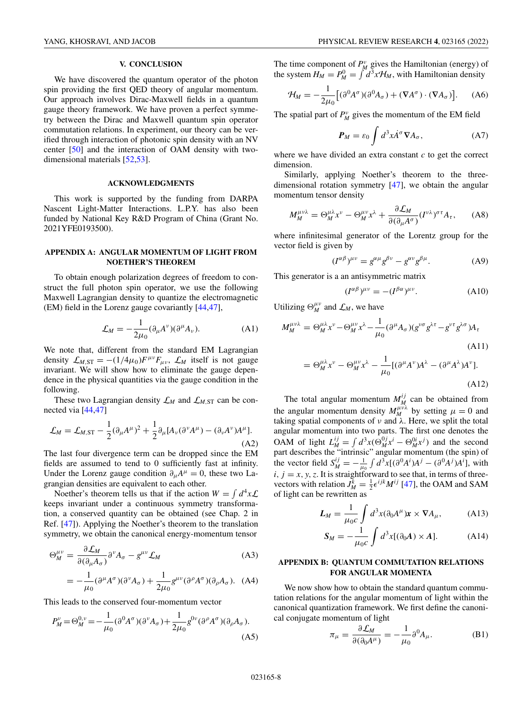### **V. CONCLUSION**

<span id="page-7-0"></span>We have discovered the quantum operator of the photon spin providing the first QED theory of angular momentum. Our approach involves Dirac-Maxwell fields in a quantum gauge theory framework. We have proven a perfect symmetry between the Dirac and Maxwell quantum spin operator commutation relations. In experiment, our theory can be verified through interaction of photonic spin density with an NV center [\[50\]](#page-19-0) and the interaction of OAM density with twodimensional materials [\[52,53\]](#page-19-0).

#### **ACKNOWLEDGMENTS**

This work is supported by the funding from DARPA Nascent Light-Matter Interactions. L.P.Y. has also been funded by National Key R&D Program of China (Grant No. 2021YFE0193500).

## **APPENDIX A: ANGULAR MOMENTUM OF LIGHT FROM NOETHER'S THEOREM**

To obtain enough polarization degrees of freedom to construct the full photon spin operator, we use the following Maxwell Lagrangian density to quantize the electromagnetic (EM) field in the Lorenz gauge covariantly [\[44,47\]](#page-19-0),

$$
\mathcal{L}_M = -\frac{1}{2\mu_0} (\partial_\mu A^\nu)(\partial^\mu A_\nu). \tag{A1}
$$

We note that, different from the standard EM Lagrangian density  $\mathcal{L}_{M,ST} = -(1/4\mu_0)F^{\mu\nu}F_{\mu\nu}$ ,  $\mathcal{L}_M$  itself is not gauge invariant. We will show how to eliminate the gauge dependence in the physical quantities via the gauge condition in the following.

These two Lagrangian density  $\mathcal{L}_M$  and  $\mathcal{L}_{M,\text{ST}}$  can be connected via [\[44,47\]](#page-19-0)

$$
\mathcal{L}_M = \mathcal{L}_{M,\mathrm{ST}} - \frac{1}{2} (\partial_\mu A^\mu)^2 + \frac{1}{2} \partial_\mu [A_\nu (\partial^\nu A^\mu) - (\partial_\nu A^\nu) A^\mu]. \tag{A2}
$$

The last four divergence term can be dropped since the EM fields are assumed to tend to 0 sufficiently fast at infinity. Under the Lorenz gauge condition  $\partial_{\mu}A^{\mu} = 0$ , these two Lagrangian densities are equivalent to each other.

Noether's theorem tells us that if the action  $W = \int d^4x \mathcal{L}$ keeps invariant under a continuous symmetry transformation, a conserved quantity can be obtained (see Chap. 2 in Ref. [\[47\]](#page-19-0)). Applying the Noether's theorem to the translation symmetry, we obtain the canonical energy-momentum tensor

$$
\Theta_{M}^{\mu\nu} = \frac{\partial \mathcal{L}_{M}}{\partial (\partial_{\mu} A_{\sigma})} \partial^{\nu} A_{\sigma} - g^{\mu\nu} \mathcal{L}_{M}
$$
(A3)

$$
= -\frac{1}{\mu_0} (\partial^{\mu} A^{\sigma})(\partial^{\nu} A_{\sigma}) + \frac{1}{2\mu_0} g^{\mu\nu} (\partial^{\rho} A^{\sigma})(\partial_{\rho} A_{\sigma}). \quad (A4)
$$

This leads to the conserved four-momentum vector

$$
P_M^{\nu} = \Theta_M^{0,\nu} = -\frac{1}{\mu_0} (\partial^0 A^{\sigma})(\partial^{\nu} A_{\sigma}) + \frac{1}{2\mu_0} g^{0\nu} (\partial^{\rho} A^{\sigma})(\partial_{\rho} A_{\sigma}).
$$
\n(A5)

The time component of  $P_M^{\nu}$  gives the Hamiltonian (energy) of the system  $H_M = P_M^0 = \int d^3x \mathcal{H}_M$ , with Hamiltonian density

$$
\mathcal{H}_M = -\frac{1}{2\mu_0} \left[ (\partial^0 A^\sigma)(\partial^0 A_\sigma) + (\nabla A^\sigma) \cdot (\nabla A_\sigma) \right].
$$
 (A6)

The spatial part of  $P_M^{\nu}$  gives the momentum of the EM field

$$
\boldsymbol{P}_M = \varepsilon_0 \int d^3x \dot{A}^\sigma \nabla A_\sigma, \tag{A7}
$$

where we have divided an extra constant *c* to get the correct dimension.

Similarly, applying Noether's theorem to the threedimensional rotation symmetry [\[47\]](#page-19-0), we obtain the angular momentum tensor density

$$
M_M^{\mu\nu\lambda} = \Theta_M^{\mu\lambda} x^{\nu} - \Theta_M^{\mu\nu} x^{\lambda} + \frac{\partial \mathcal{L}_M}{\partial (\partial_{\mu} A^{\sigma})} (I^{\nu\lambda})^{\sigma\tau} A_{\tau}, \quad (A8)
$$

where infinitesimal generator of the Lorentz group for the vector field is given by

$$
(I^{\alpha\beta})^{\mu\nu} = g^{\alpha\mu}g^{\beta\nu} - g^{\alpha\nu}g^{\beta\mu}.
$$
 (A9)

This generator is a an antisymmetric matrix

$$
(I^{\alpha\beta})^{\mu\nu} = -(I^{\beta\alpha})^{\mu\nu}.
$$
 (A10)

Utilizing  $\Theta_M^{\mu\nu}$  and  $\mathcal{L}_M$ , we have

$$
M_M^{\mu\nu\lambda} = \Theta_M^{\mu\lambda} x^{\nu} - \Theta_M^{\mu\nu} x^{\lambda} - \frac{1}{\mu_0} (\partial^{\mu} A_{\sigma}) (g^{\nu\sigma} g^{\lambda\tau} - g^{\nu\tau} g^{\lambda\sigma}) A_{\tau}
$$
\n(A11)

$$
= \Theta_M^{\mu\lambda} x^{\nu} - \Theta_M^{\mu\nu} x^{\lambda} - \frac{1}{\mu_0} [(\partial^{\mu} A^{\nu}) A^{\lambda} - (\partial^{\mu} A^{\lambda}) A^{\nu}].
$$
\n(A12)

The total angular momentum  $M_M^{ij}$  can be obtained from the angular momentum density  $M_M^{\mu\nu\lambda}$  by setting  $\mu = 0$  and taking spatial components of  $\nu$  and  $\lambda$ . Here, we split the total angular momentum into two parts. The first one denotes the OAM of light  $L_M^{ij} = \int d^3x (\overline{\Theta}_M^{0j} x^i - \Theta_M^{0i} x^j)$  and the second part describes the "intrinsic" angular momentum (the spin) of the vector field  $S_M^{ij} = -\frac{1}{\mu_0} \int d^3x [(\partial^0 A^i) A^j - (\partial^0 A^j) A^i]$ , with  $i, j = x, y, z$ . It is straightforward to see that, in terms of threevectors with relation  $J_M^{\overline{k}} = \frac{1}{2} \epsilon^{ijk} M^{ij}$  [\[47\]](#page-19-0), the OAM and SAM of light can be rewritten as

$$
L_M = \frac{1}{\mu_0 c} \int d^3x (\partial_0 A^\mu) \mathbf{x} \times \nabla A_\mu, \tag{A13}
$$

$$
S_M = -\frac{1}{\mu_0 c} \int d^3x [(\partial_0 A) \times A]. \tag{A14}
$$

## **APPENDIX B: QUANTUM COMMUTATION RELATIONS FOR ANGULAR MOMENTA**

We now show how to obtain the standard quantum commutation relations for the angular momentum of light within the canonical quantization framework. We first define the canonical conjugate momentum of light

$$
\pi_{\mu} = \frac{\partial \mathcal{L}_M}{\partial (\partial_0 A^{\mu})} = -\frac{1}{\mu_0} \partial^0 A_{\mu}.
$$
 (B1)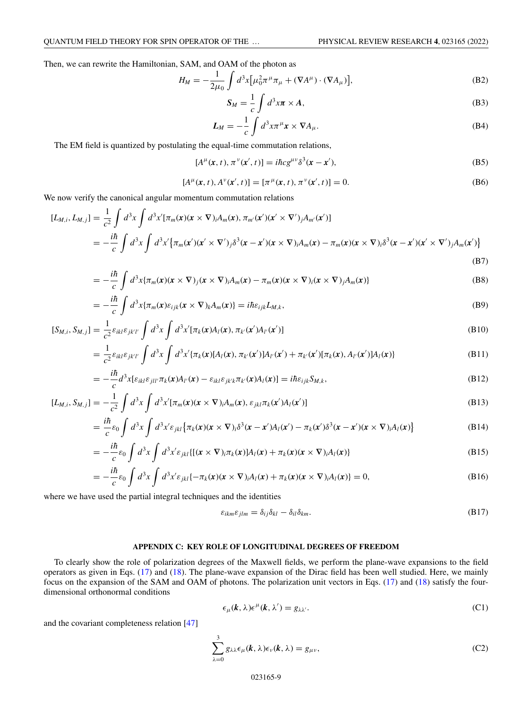<span id="page-8-0"></span>Then, we can rewrite the Hamiltonian, SAM, and OAM of the photon as

$$
H_M = -\frac{1}{2\mu_0} \int d^3x \Big[ \mu_0^2 \pi^\mu \pi_\mu + (\nabla A^\mu) \cdot (\nabla A_\mu) \Big],\tag{B2}
$$

$$
S_M = \frac{1}{c} \int d^3x \pi \times A,\tag{B3}
$$

$$
L_M = -\frac{1}{c} \int d^3 x \pi^\mu x \times \nabla A_\mu.
$$
 (B4)

The EM field is quantized by postulating the equal-time commutation relations,

$$
[A^{\mu}(\mathbf{x},t),\pi^{\nu}(\mathbf{x}',t)]=i\hbar c g^{\mu\nu}\delta^{3}(\mathbf{x}-\mathbf{x}'), \tag{B5}
$$

$$
[A^{\mu}(\mathbf{x},t), A^{\nu}(\mathbf{x}',t)] = [\pi^{\mu}(\mathbf{x},t), \pi^{\nu}(\mathbf{x}',t)] = 0.
$$
 (B6)

We now verify the canonical angular momentum commutation relations

$$
[L_{M,i}, L_{M,j}] = \frac{1}{c^2} \int d^3x \int d^3x' [\pi_m(\mathbf{x})(\mathbf{x} \times \nabla)_i A_m(\mathbf{x}), \pi_{m'}(\mathbf{x}')( \mathbf{x}' \times \nabla')_j A_{m'}(\mathbf{x}')]
$$
  
= 
$$
-\frac{i\hbar}{c} \int d^3x \int d^3x' \{\pi_m(\mathbf{x}')( \mathbf{x}' \times \nabla')_j \delta^3(\mathbf{x} - \mathbf{x}')(\mathbf{x} \times \nabla)_i A_m(\mathbf{x}) - \pi_m(\mathbf{x})(\mathbf{x} \times \nabla)_i \delta^3(\mathbf{x} - \mathbf{x}')(\mathbf{x}' \times \nabla')_j A_m(\mathbf{x}')\}
$$
(B7)

$$
= -\frac{i\hbar}{c} \int d^3x \{\pi_m(\mathbf{x})(\mathbf{x}\times\nabla)_j(\mathbf{x}\times\nabla)_i A_m(\mathbf{x}) - \pi_m(\mathbf{x})(\mathbf{x}\times\nabla)_i(\mathbf{x}\times\nabla)_j A_m(\mathbf{x})\}
$$
(B8)

$$
= -\frac{i\hbar}{c} \int d^3x \{\pi_m(\mathbf{x})\varepsilon_{ijk}(\mathbf{x}\times\nabla)_k A_m(\mathbf{x})\} = i\hbar\varepsilon_{ijk} L_{M,k},
$$
\n(B9)

$$
[S_{M,i}, S_{M,j}] = \frac{1}{c^2} \varepsilon_{ikl} \varepsilon_{jk'l'} \int d^3x \int d^3x' [\pi_k(\mathbf{x}) A_l(\mathbf{x}), \pi_{k'}(\mathbf{x'}) A_{l'}(\mathbf{x'})]
$$
(B10)

$$
= \frac{1}{c^2} \varepsilon_{ikl} \varepsilon_{jk'l'} \int d^3x \int d^3x' \{\pi_k(\mathbf{x})[A_l(\mathbf{x}), \pi_{k'}(\mathbf{x}')]A_{l'}(\mathbf{x}') + \pi_{k'}(\mathbf{x}')[\pi_k(\mathbf{x}), A_{l'}(\mathbf{x}')]A_l(\mathbf{x})\}
$$
(B11)

$$
= -\frac{i\hbar}{c} d^3 x [\varepsilon_{ikl} \varepsilon_{jll'} \pi_k(\mathbf{x}) A_{l'}(\mathbf{x}) - \varepsilon_{ikl} \varepsilon_{jk'k} \pi_{k'}(\mathbf{x}) A_l(\mathbf{x})] = i\hbar \varepsilon_{ijk} S_{M,k},
$$
\n(B12)

$$
[L_{M,i}, S_{M,j}] = -\frac{1}{c^2} \int d^3x \int d^3x' [\pi_m(\mathbf{x})(\mathbf{x} \times \nabla)_i A_m(\mathbf{x}), \varepsilon_{jkl} \pi_k(\mathbf{x}') A_l(\mathbf{x}')] \tag{B13}
$$

$$
= \frac{i\hbar}{c}\varepsilon_0 \int d^3x \int d^3x' \varepsilon_{jkl} \left\{ \pi_k(\mathbf{x})(\mathbf{x} \times \nabla)_i \delta^3(\mathbf{x} - \mathbf{x}') A_l(\mathbf{x}') - \pi_k(\mathbf{x}') \delta^3(\mathbf{x} - \mathbf{x}')(\mathbf{x} \times \nabla)_i A_l(\mathbf{x}) \right\}
$$
(B14)

$$
= -\frac{i\hbar}{c}\varepsilon_0 \int d^3x \int d^3x' \varepsilon_{jkl} \{[(\mathbf{x} \times \nabla)_i \pi_k(\mathbf{x})] A_l(\mathbf{x}) + \pi_k(\mathbf{x}) (\mathbf{x} \times \nabla)_i A_l(\mathbf{x})\}
$$
(B15)

$$
= -\frac{i\hbar}{c}\varepsilon_0 \int d^3x \int d^3x' \varepsilon_{jkl} \{-\pi_k(\mathbf{x})(\mathbf{x}\times\nabla)_i A_l(\mathbf{x}) + \pi_k(\mathbf{x})(\mathbf{x}\times\nabla)_i A_l(\mathbf{x})\} = 0,
$$
\n(B16)

where we have used the partial integral techniques and the identities

$$
\varepsilon_{ikm}\varepsilon_{jlm} = \delta_{ij}\delta_{kl} - \delta_{il}\delta_{km}.\tag{B17}
$$

## **APPENDIX C: KEY ROLE OF LONGITUDINAL DEGREES OF FREEDOM**

To clearly show the role of polarization degrees of the Maxwell fields, we perform the plane-wave expansions to the field operators as given in Eqs. [\(17\)](#page-4-0) and [\(18\)](#page-4-0). The plane-wave expansion of the Dirac field has been well studied. Here, we mainly focus on the expansion of the SAM and OAM of photons. The polarization unit vectors in Eqs. [\(17\)](#page-4-0) and [\(18\)](#page-4-0) satisfy the fourdimensional orthonormal conditions

$$
\epsilon_{\mu}(\mathbf{k},\lambda)\epsilon^{\mu}(\mathbf{k},\lambda')=g_{\lambda\lambda'}.\tag{C1}
$$

and the covariant completeness relation [\[47\]](#page-19-0)

$$
\sum_{\lambda=0}^{3} g_{\lambda\lambda} \epsilon_{\mu}(\mathbf{k}, \lambda) \epsilon_{\nu}(\mathbf{k}, \lambda) = g_{\mu\nu}, \tag{C2}
$$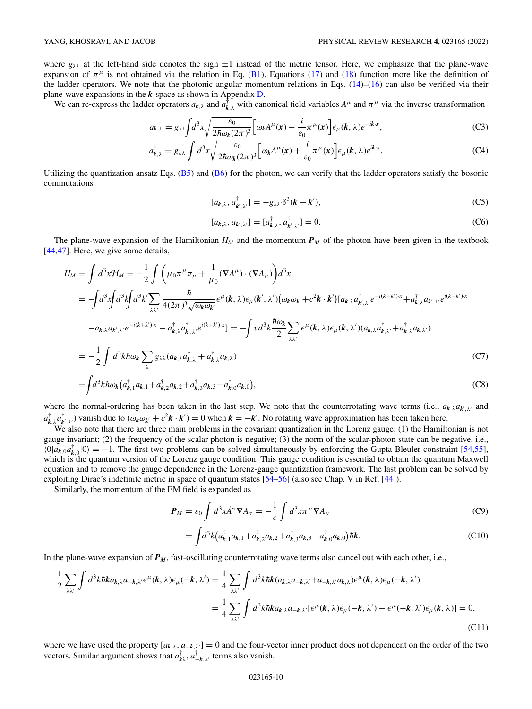<span id="page-9-0"></span>where  $g_{\lambda\lambda}$  at the left-hand side denotes the sign  $\pm 1$  instead of the metric tensor. Here, we emphasize that the plane-wave expansion of  $\pi^{\mu}$  is not obtained via the relation in Eq. [\(B1\)](#page-7-0). Equations [\(17\)](#page-4-0) and [\(18\)](#page-4-0) function more like the definition of the ladder operators. We note that the photonic angular momentum relations in Eqs.  $(14)$ – $(16)$  can also be verified via their plane-wave expansions in the *k*-space as shown in Appendix [D.](#page-11-0)

We can re-express the ladder operators  $a_{k,\lambda}$  and  $a_{k,\lambda}^{\dagger}$  with canonical field variables  $A^{\mu}$  and  $\pi^{\mu}$  via the inverse transformation

$$
a_{\mathbf{k},\lambda} = g_{\lambda\lambda} \int d^3x \sqrt{\frac{\varepsilon_0}{2\hbar\omega_k (2\pi)^3}} \Big[ \omega_k A^\mu(\mathbf{x}) - \frac{i}{\varepsilon_0} \pi^\mu(\mathbf{x}) \Big] \epsilon_\mu(\mathbf{k},\lambda) e^{-i\mathbf{k}\cdot\mathbf{x}},\tag{C3}
$$

$$
a_{\mathbf{k},\lambda}^{\dagger} = g_{\lambda\lambda} \int d^3x \sqrt{\frac{\varepsilon_0}{2\hbar\omega_k(2\pi)^3}} \Big[ \omega_k A^{\mu}(\mathbf{x}) + \frac{i}{\varepsilon_0} \pi^{\mu}(\mathbf{x}) \Big] \epsilon_{\mu}(\mathbf{k},\lambda) e^{i\mathbf{k}\cdot\mathbf{x}}.
$$
 (C4)

Utilizing the quantization ansatz Eqs.  $(B5)$  and  $(B6)$  for the photon, we can verify that the ladder operators satisfy the bosonic commutations

$$
[a_{\mathbf{k},\lambda}, a_{\mathbf{k}',\lambda'}^{\dagger}] = -g_{\lambda\lambda'}\delta^3(\mathbf{k} - \mathbf{k}'),\tag{C5}
$$

$$
[a_{k,\lambda}, a_{k',\lambda'}] = [a_{k,\lambda}^{\dagger}, a_{k',\lambda'}^{\dagger}] = 0.
$$
 (C6)

The plane-wave expansion of the Hamiltonian  $H_M$  and the momentum  $P_M$  of the photon have been given in the textbook [\[44,47\]](#page-19-0). Here, we give some details,

$$
H_M = \int d^3x \mathcal{H}_M = -\frac{1}{2} \int \left( \mu_0 \pi^\mu \pi_\mu + \frac{1}{\mu_0} (\nabla A^\mu) \cdot (\nabla A_\mu) \right) d^3x
$$
  
\n
$$
= -\int d^3x \int d^3k \int d^3k' \sum_{\lambda \lambda'} \frac{\hbar}{4(2\pi)^3 \sqrt{\omega_k \omega_k}} \epsilon^\mu(k, \lambda) \epsilon_\mu(k', \lambda') (\omega_k \omega_{k'} + c^2 k \cdot k') [a_{k,\lambda} a_{k',\lambda'}^\dagger e^{-i(k-k')\cdot x} + a_{k,\lambda}^\dagger a_{k',\lambda'} e^{i(k-k')\cdot x}
$$
  
\n
$$
-a_{k,\lambda} a_{k',\lambda'} e^{-i(k+k')\cdot x} - a_{k,\lambda}^\dagger a_{k',\lambda'}^\dagger e^{i(k+k')\cdot x}] = -\int v d^3k \frac{\hbar \omega_k}{2} \sum_{\lambda \lambda'} \epsilon^\mu(k, \lambda) \epsilon_\mu(k, \lambda') (a_{k,\lambda} a_{k,\lambda'}^\dagger + a_{k,\lambda}^\dagger a_{k,\lambda'})
$$
  
\n
$$
= -\frac{1}{2} \int d^3k \hbar \omega_k \sum_{\lambda} g_{\lambda \lambda} (a_{k,\lambda} a_{k,\lambda}^\dagger + a_{k,\lambda}^\dagger a_{k,\lambda})
$$
  
\n
$$
= \int d^3k \hbar \omega_k (a_{k,1}^\dagger a_{k,1} + a_{k,2}^\dagger a_{k,2} + a_{k,3}^\dagger a_{k,3} - a_{k,0}^\dagger a_{k,0}),
$$
  
\n(C8)

where the normal-ordering has been taken in the last step. We note that the counterrotating wave terms (i.e.,  $a_{k,\lambda}a_{k',\lambda'}$  and

 $a_{k,\lambda}^{\dagger} a_{k',\lambda'}^{\dagger}$  vanish due to  $(\omega_k \omega_{k'} + c^2 k \cdot k') = 0$  when  $k = -k'$ . No rotating wave approximation has been taken here. We also note that there are three main problems in the covariant quantization in the Lorenz gauge: (1) the Hamiltonian is not gauge invariant; (2) the frequency of the scalar photon is negative; (3) the norm of the scalar-photon state can be negative, i.e.,  $\langle 0|a_{k,0}a_{k,0}^{\dagger}|0\rangle = -1$ . The first two problems can be solved simultaneously by enforcing the Gupta-Bleuler constraint [\[54](#page-19-0)[,55\]](#page-20-0), which is the quantum version of the Lorenz gauge condition. This gauge condition is essential to obtain the quantum Maxwell equation and to remove the gauge dependence in the Lorenz-gauge quantization framework. The last problem can be solved by exploiting Dirac's indefinite metric in space of quantum states [\[54](#page-19-0)[–56\]](#page-20-0) (also see Chap. V in Ref. [\[44\]](#page-19-0)).

Similarly, the momentum of the EM field is expanded as

$$
P_M = \varepsilon_0 \int d^3x \dot{A}^\sigma \nabla A_\sigma = -\frac{1}{c} \int d^3x \pi^\mu \nabla A_\mu
$$
 (C9)

$$
= \int d^3k \left( a_{k,1}^\dagger a_{k,1} + a_{k,2}^\dagger a_{k,2} + a_{k,3}^\dagger a_{k,3} - a_{k,0}^\dagger a_{k,0} \right) \hbar k. \tag{C10}
$$

In the plane-wave expansion of *P<sup>M</sup>* , fast-oscillating counterrotating wave terms also cancel out with each other, i.e.,

$$
\frac{1}{2} \sum_{\lambda \lambda'} \int d^3k \hbar k a_{k,\lambda} a_{-k,\lambda'} \epsilon^{\mu}(k,\lambda) \epsilon_{\mu}(-k,\lambda') = \frac{1}{4} \sum_{\lambda \lambda'} \int d^3k \hbar k (a_{k,\lambda} a_{-k,\lambda'} + a_{-k,\lambda'} a_{k,\lambda}) \epsilon^{\mu}(k,\lambda) \epsilon_{\mu}(-k,\lambda')
$$

$$
= \frac{1}{4} \sum_{\lambda \lambda'} \int d^3k \hbar k a_{k,\lambda} a_{-k,\lambda'} [\epsilon^{\mu}(k,\lambda) \epsilon_{\mu}(-k,\lambda') - \epsilon^{\mu}(-k,\lambda') \epsilon_{\mu}(k,\lambda)] = 0,
$$
(C11)

where we have used the property  $[a_{k,\lambda}, a_{-k,\lambda}]=0$  and the four-vector inner product does not dependent on the order of the two vectors. Similar argument shows that  $a^{\dagger}_{k\lambda}$ ,  $a^{\dagger}_{-k\lambda}$ , terms also vanish.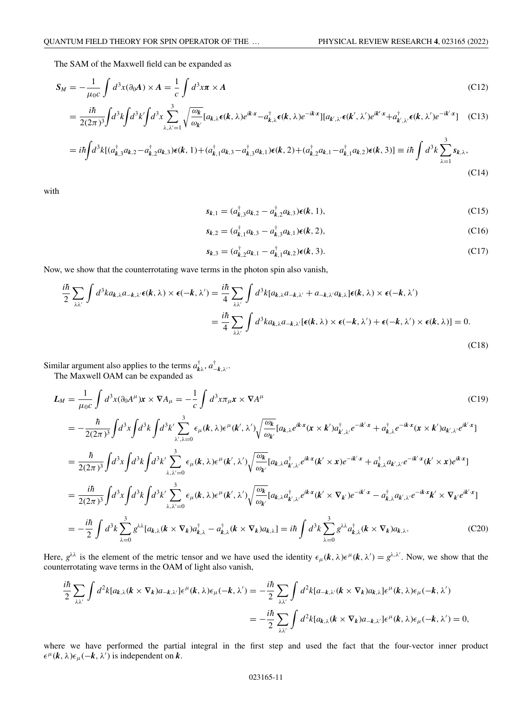<span id="page-10-0"></span>The SAM of the Maxwell field can be expanded as

$$
S_M = -\frac{1}{\mu_0 c} \int d^3x (\partial_0 A) \times A = \frac{1}{c} \int d^3x \pi \times A
$$
 (C12)

$$
= \frac{i\hbar}{2(2\pi)^3} \int d^3k \int d^3k' \int d^3x \sum_{\lambda,\lambda'=1}^3 \sqrt{\frac{\omega_k}{\omega_{k'}}} [a_{k,\lambda}\epsilon(k,\lambda)e^{ik\cdot x} - a_{k,\lambda}^\dagger \epsilon(k,\lambda)e^{-ik\cdot x}] [a_{k',\lambda'}\epsilon(k',\lambda')e^{ik'\cdot x} + a_{k',\lambda'}^\dagger \epsilon(k,\lambda')e^{-ik'\cdot x}] \tag{C13}
$$

$$
=i\hbar \int d^3k [(a_{k,3}^{\dagger}a_{k,2} - a_{k,2}^{\dagger}a_{k,3})\epsilon(k,1) + (a_{k,1}^{\dagger}a_{k,3} - a_{k,3}^{\dagger}a_{k,1})\epsilon(k,2) + (a_{k,2}^{\dagger}a_{k,1} - a_{k,1}^{\dagger}a_{k,2})\epsilon(k,3)] \equiv i\hbar \int d^3k \sum_{\lambda=1}^3 s_{k,\lambda},
$$
\n(C14)

with

$$
s_{k,1} = (a_{k,3}^{\dagger} a_{k,2} - a_{k,2}^{\dagger} a_{k,3})\epsilon(k,1),
$$
 (C15)

$$
s_{k,2} = (a_{k,1}^{\dagger} a_{k,3} - a_{k,3}^{\dagger} a_{k,1})\epsilon(k,2),
$$
 (C16)

$$
s_{k,3} = (a_{k,2}^{\dagger} a_{k,1} - a_{k,1}^{\dagger} a_{k,2})\epsilon(k,3). \tag{C17}
$$

Now, we show that the counterrotating wave terms in the photon spin also vanish,

$$
\frac{i\hbar}{2} \sum_{\lambda\lambda'} \int d^3ka_{k,\lambda}a_{-k,\lambda'}\epsilon(k,\lambda) \times \epsilon(-k,\lambda') = \frac{i\hbar}{4} \sum_{\lambda\lambda'} \int d^3k [a_{k,\lambda}a_{-k,\lambda'} + a_{-k,\lambda'}a_{k,\lambda}] \epsilon(k,\lambda) \times \epsilon(-k,\lambda')
$$

$$
= \frac{i\hbar}{4} \sum_{\lambda\lambda'} \int d^3ka_{k,\lambda}a_{-k,\lambda'}[\epsilon(k,\lambda) \times \epsilon(-k,\lambda') + \epsilon(-k,\lambda') \times \epsilon(k,\lambda)] = 0.
$$
(C18)

Similar argument also applies to the terms  $a_{\mathbf{k}\lambda}^{\dagger}$ ,  $a_{-\mathbf{k},\lambda}^{\dagger}$ .

The Maxwell OAM can be expanded as

$$
L_{M} = \frac{1}{\mu_{0}c} \int d^{3}x(\partial_{0}A^{\mu}) \mathbf{x} \times \nabla A_{\mu} = -\frac{1}{c} \int d^{3}x \pi_{\mu} \mathbf{x} \times \nabla A^{\mu}
$$
\n(C19)  
\n
$$
= -\frac{\hbar}{2(2\pi)^{3}} \int d^{3}x \int d^{3}k \int d^{3}k' \sum_{\lambda',\lambda=0}^{3} \epsilon_{\mu}(\mathbf{k},\lambda) \epsilon^{\mu}(\mathbf{k}',\lambda') \sqrt{\frac{\omega_{k}}{\omega_{k}}} [a_{k,\lambda}e^{ik\cdot x}(\mathbf{x}\times\mathbf{k}')a_{k',\lambda'}^{\dagger}e^{-ik\cdot x} + a_{k,\lambda}^{\dagger}e^{-ik\cdot x}(\mathbf{x}\times\mathbf{k}')a_{k,\lambda'}e^{ik\cdot x}]
$$
\n
$$
= \frac{\hbar}{2(2\pi)^{3}} \int d^{3}x \int d^{3}k \int d^{3}k' \sum_{\lambda,\lambda'=0}^{3} \epsilon_{\mu}(\mathbf{k},\lambda) \epsilon^{\mu}(\mathbf{k}',\lambda') \sqrt{\frac{\omega_{k}}{\omega_{k}}} [a_{k,\lambda}a_{k',\lambda'}^{\dagger}e^{ik\cdot x}(\mathbf{k}'\times\mathbf{x})e^{-ik'\cdot x} + a_{k,\lambda}^{\dagger}a_{k',\lambda'}e^{-ik'\cdot x}(\mathbf{k}'\times\mathbf{x})e^{ik\cdot x}]
$$
\n
$$
= \frac{i\hbar}{2(2\pi)^{3}} \int d^{3}x \int d^{3}k \int d^{3}k' \sum_{\lambda,\lambda'=0}^{3} \epsilon_{\mu}(\mathbf{k},\lambda) \epsilon^{\mu}(\mathbf{k}',\lambda') \sqrt{\frac{\omega_{k}}{\omega_{k}}} [a_{k,\lambda}a_{k',\lambda'}^{\dagger}e^{ik\cdot x}(\mathbf{k}'\times\nabla_{k'})e^{-ik'\cdot x} - a_{k,\lambda}^{\dagger}a_{k',\lambda'}e^{-ik\cdot x}(\mathbf{k}'\times\nabla_{k'}e^{ik'\cdot x}]
$$
\n
$$
= -\frac{i\hbar}{2} \int d^{3}k \sum_{\lambda=0}^{3} g^{\lambda\lambda} [a_{k,\lambda}(\mathbf{k}\times\nabla_{k})a_{k,\lambda}^{\dagger} - a_{k,\
$$

Here,  $g^{\lambda\lambda}$  is the element of the metric tensor and we have used the identity  $\epsilon_{\mu}(\mathbf{k},\lambda)\epsilon^{\mu}(\mathbf{k},\lambda')=g^{\lambda,\lambda'}$ . Now, we show that the counterrotating wave terms in the OAM of light also vanish,

$$
\frac{i\hbar}{2} \sum_{\lambda\lambda'} \int d^2k [a_{k,\lambda}(k \times \nabla_k) a_{-k,\lambda'}] \epsilon^{\mu}(k,\lambda) \epsilon_{\mu}(-k,\lambda') = -\frac{i\hbar}{2} \sum_{\lambda\lambda'} \int d^2k [a_{-k,\lambda'}(k \times \nabla_k) a_{k,\lambda}] \epsilon^{\mu}(k,\lambda) \epsilon_{\mu}(-k,\lambda')
$$
  

$$
= -\frac{i\hbar}{2} \sum_{\lambda\lambda'} \int d^2k [a_{k,\lambda}(k \times \nabla_k) a_{-k,\lambda'}] \epsilon^{\mu}(k,\lambda) \epsilon_{\mu}(-k,\lambda') = 0,
$$

where we have performed the partial integral in the first step and used the fact that the four-vector inner product  $\epsilon^{\mu}(\mathbf{k}, \lambda) \epsilon_{\mu}(-\mathbf{k}, \lambda')$  is independent on  $\mathbf{k}$ .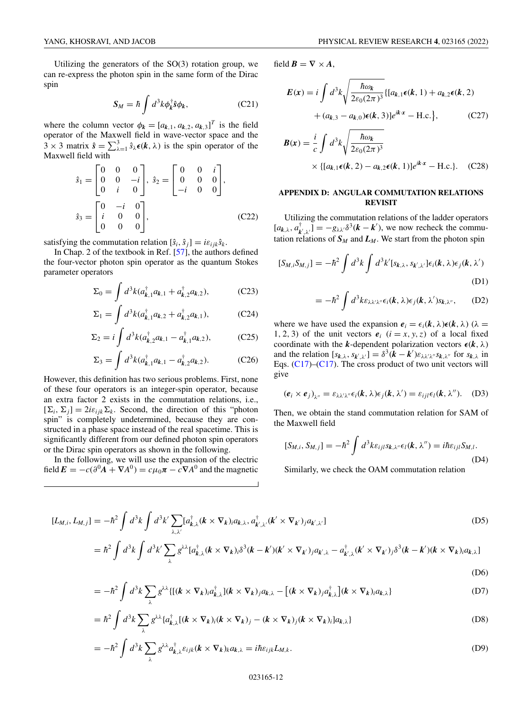<span id="page-11-0"></span>Utilizing the generators of the SO(3) rotation group, we can re-express the photon spin in the same form of the Dirac spin

$$
S_M = \hbar \int d^3k \phi_k^{\dagger} \hat{s} \phi_k, \qquad (C21)
$$

where the column vector  $\phi_k = [a_{k,1}, a_{k,2}, a_{k,3}]^T$  is the field operator of the Maxwell field in wave-vector space and the  $3 \times 3$  matrix  $\hat{s} = \sum_{\lambda=1}^{3} \hat{s}_{\lambda} \epsilon(k, \lambda)$  is the spin operator of the Maxwell field with

$$
\hat{s}_1 = \begin{bmatrix} 0 & 0 & 0 \\ 0 & 0 & -i \\ 0 & i & 0 \end{bmatrix}, \ \hat{s}_2 = \begin{bmatrix} 0 & 0 & i \\ 0 & 0 & 0 \\ -i & 0 & 0 \end{bmatrix},
$$

$$
\hat{s}_3 = \begin{bmatrix} 0 & -i & 0 \\ i & 0 & 0 \\ 0 & 0 & 0 \end{bmatrix}, \tag{C22}
$$

satisfying the commutation relation  $[\hat{s}_i, \hat{s}_j] = i\varepsilon_{ijk}\hat{s}_k$ .

In Chap. 2 of the textbook in Ref. [\[57\]](#page-20-0), the authors defined the four-vector photon spin operator as the quantum Stokes parameter operators

$$
\Sigma_0 = \int d^3k (a_{k,1}^\dagger a_{k,1} + a_{k,2}^\dagger a_{k,2}), \qquad (C23)
$$

$$
\Sigma_1 = \int d^3k (a_{k,1}^\dagger a_{k,2} + a_{k,2}^\dagger a_{k,1}), \qquad (C24)
$$

$$
\Sigma_2 = i \int d^3k (a_{k,2}^\dagger a_{k,1} - a_{k,1}^\dagger a_{k,2}), \qquad (C25)
$$

$$
\Sigma_3 = \int d^3k (a_{k,1}^\dagger a_{k,1} - a_{k,2}^\dagger a_{k,2}). \tag{C26}
$$

However, this definition has two serious problems. First, none of these four operators is an integer-spin operator, because an extra factor 2 exists in the commutation relations, i.e.,  $[\Sigma_i, \Sigma_j] = 2i\varepsilon_{ijk}\Sigma_k$ . Second, the direction of this "photon spin" is completely undetermined, because they are constructed in a phase space instead of the real spacetime. This is significantly different from our defined photon spin operators or the Dirac spin operators as shown in the following.

In the following, we will use the expansion of the electric field  $\mathbf{E} = -c(\partial^0 \mathbf{A} + \nabla A^0) = c\mu_0 \mathbf{\pi} - c\nabla A^0$  and the magnetic

λ

field  $\mathbf{B} = \nabla \times \mathbf{A}$ ,

$$
E(\mathbf{x}) = i \int d^3k \sqrt{\frac{\hbar \omega_k}{2\varepsilon_0 (2\pi)^3}} \{ [a_{k,1}\epsilon(k, 1) + a_{k,2}\epsilon(k, 2) + (a_{k,3} - a_{k,0})\epsilon(k, 3)]e^{ik \cdot x} - \text{H.c.} \},
$$
 (C27)

$$
\mathbf{B}(\mathbf{x}) = \frac{i}{c} \int d^3k \sqrt{\frac{\hbar \omega_k}{2\varepsilon_0 (2\pi)^3}}
$$
  
× {[ $a_{k,1}\epsilon(k, 2) - a_{k,2}\epsilon(k, 1)$ ]e<sup>ikx</sup> - H.c.}. (C28)

# **APPENDIX D: ANGULAR COMMUTATION RELATIONS REVISIT**

Utilizing the commutation relations of the ladder operators  $[a_{k,\lambda}, a_{k',\lambda'}^{\dagger}] = -g_{\lambda\lambda'}\delta^3(\boldsymbol{k} - \boldsymbol{k}')$ , we now recheck the commutation relations of  $S_M$  and  $L_M$ . We start from the photon spin

$$
[S_{M,i}S_{M,j}] = -\hbar^2 \int d^3k \int d^3k' [s_{k,\lambda}, s_{k',\lambda'}] \epsilon_i(\mathbf{k}, \lambda) \epsilon_j(\mathbf{k}, \lambda')
$$
(D1)

$$
= -\hbar^2 \int d^3k \varepsilon_{\lambda\lambda'\lambda''} \epsilon_i(\mathbf{k}, \lambda) \epsilon_j(\mathbf{k}, \lambda') s_{\mathbf{k}, \lambda''}, \qquad (D2)
$$

where we have used the expansion  $e_i = \epsilon_i(k, \lambda)\epsilon(k, \lambda)$  ( $\lambda =$ 1, 2, 3) of the unit vectors  $e_i$   $(i = x, y, z)$  of a local fixed coordinate with the *k*-dependent polarization vectors  $\epsilon(k, \lambda)$ and the relation  $[s_{k,\lambda}, s_{k',\lambda'}] = \delta^3(k - k') \varepsilon_{\lambda\lambda'\lambda''} s_{k,\lambda''}$  for  $s_{k,\lambda}$  in Eqs. [\(C17\)](#page-10-0)–[\(C17\)](#page-10-0). The cross product of two unit vectors will give

$$
(\mathbf{e}_i \times \mathbf{e}_j)_{\chi''} = \varepsilon_{\lambda \lambda' \lambda''} \epsilon_i(\mathbf{k}, \lambda) \epsilon_j(\mathbf{k}, \lambda') = \varepsilon_{ijl} \epsilon_l(\mathbf{k}, \lambda''). \quad (D3)
$$

Then, we obtain the stand commutation relation for SAM of the Maxwell field

$$
[S_{M,i}, S_{M,j}] = -\hbar^2 \int d^3k \varepsilon_{ijl} s_{\mathbf{k},\lambda''} \epsilon_l(\mathbf{k}, \lambda'') = i\hbar \varepsilon_{ijl} S_{M,l}.
$$
\n(D4)

Similarly, we check the OAM commutation relation

$$
[L_{M,i}, L_{M,j}] = -\hbar^2 \int d^3k \int d^3k' \sum_{\lambda,\lambda'} [a_{k,\lambda}^\dagger(\mathbf{k} \times \nabla_{\mathbf{k}})_{i} a_{k,\lambda}, a_{k',\lambda'}^\dagger(\mathbf{k}' \times \nabla_{\mathbf{k}})_{j} a_{k',\lambda'}]
$$
(D5)  

$$
= \hbar^2 \int d^3k \int d^3k' \sum_{\lambda} g^{\lambda\lambda} [a_{k,\lambda}^\dagger(\mathbf{k} \times \nabla_{\mathbf{k}})_{i} \delta^3(\mathbf{k} - \mathbf{k}')(\mathbf{k}' \times \nabla_{\mathbf{k}})_{j} a_{k',\lambda} - a_{k',\lambda}^\dagger(\mathbf{k}' \times \nabla_{\mathbf{k}})_{j} \delta^3(\mathbf{k} - \mathbf{k}')(\mathbf{k} \times \nabla_{\mathbf{k}})_{i} a_{k,\lambda}]
$$

$$
(D6)
$$

$$
= -\hbar^2 \int d^3k \sum_{\lambda} g^{\lambda\lambda} \{ [(k \times \nabla_k)_{i} a_{k,\lambda}^{\dagger} ] (k \times \nabla_k)_{j} a_{k,\lambda} - [(k \times \nabla_k)_{j} a_{k,\lambda}^{\dagger} ] (k \times \nabla_k)_{i} a_{k,\lambda} \}
$$
(D7)

$$
= \hbar^2 \int d^3 k \sum_{\lambda} g^{\lambda \lambda} \{ a_{k,\lambda}^{\dagger} [(k \times \nabla_k)_i (k \times \nabla_k)_j - (k \times \nabla_k)_j (k \times \nabla_k)_i \} a_{k,\lambda} \}
$$
(D8)

$$
= -\hbar^2 \int d^3k \sum_{\lambda} g^{\lambda\lambda} a^{\dagger}_{\mathbf{k},\lambda} \varepsilon_{ijk} (\mathbf{k} \times \nabla_{\mathbf{k}})_{k} a_{\mathbf{k},\lambda} = i\hbar \varepsilon_{ijk} L_{M,k}.
$$
 (D9)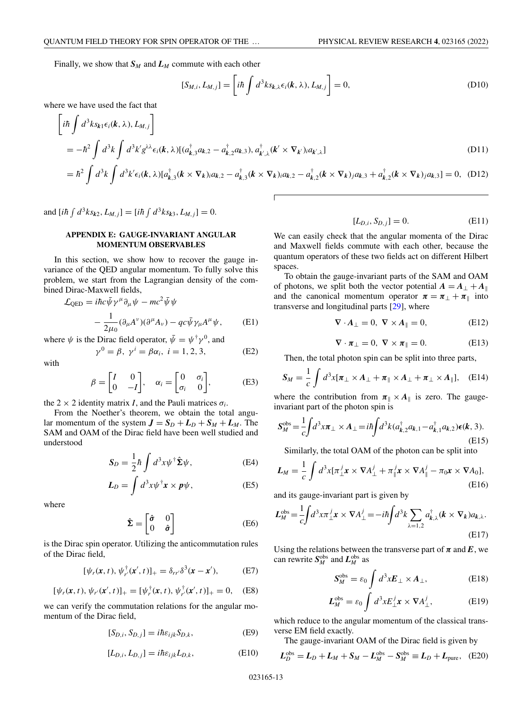$\overline{\mathbf{u}}$ 

<span id="page-12-0"></span>Finally, we show that  $S_M$  and  $L_M$  commute with each other

$$
[S_{M,i}, L_{M,j}] = \left[i\hbar \int d^3k s_{k,\lambda} \epsilon_i(k,\lambda), L_{M,j}\right] = 0,
$$
\n(D10)

where we have used the fact that

 $\Gamma$ 

 $\overline{r}$ 

$$
\begin{aligned}\n\left[i\hbar \int d^{3}k s_{k1} \epsilon_{i}(\mathbf{k},\lambda), L_{M,j}\right] \\
&= -\hbar^{2} \int d^{3}k \int d^{3}k' g^{\lambda\lambda} \epsilon_{i}(\mathbf{k},\lambda) [ (a_{k,3}^{\dagger} a_{k,2} - a_{k,2}^{\dagger} a_{k,3}), a_{k',\lambda}^{\dagger}( \mathbf{k}' \times \nabla_{\mathbf{k}})_{i} a_{k',\lambda}] \\
&= \hbar^{2} \int d^{3}k \int d^{3}k' \epsilon_{i}(\mathbf{k},\lambda) [a_{k,3}^{\dagger}(\mathbf{k} \times \nabla_{\mathbf{k}})_{i} a_{k,2} - a_{k,3}^{\dagger}(\mathbf{k} \times \nabla_{\mathbf{k}})_{i} a_{k,2} - a_{k,2}^{\dagger}(\mathbf{k} \times \nabla_{\mathbf{k}})_{j} a_{k,3} + a_{k,2}^{\dagger}(\mathbf{k} \times \nabla_{\mathbf{k}})_{j} a_{k,3}] = 0, \quad \text{(D12)}\n\end{aligned}
$$

 $\sqrt{ }$ 

and  $[i\hbar \int d^3k s_{k2}, L_{M,j}] = [i\hbar \int d^3k s_{k3}, L_{M,j}] = 0.$ 

## **APPENDIX E: GAUGE-INVARIANT ANGULAR MOMENTUM OBSERVABLES**

In this section, we show how to recover the gauge invariance of the QED angular momentum. To fully solve this problem, we start from the Lagrangian density of the combined Dirac-Maxwell fields,

$$
\mathcal{L}_{\text{QED}} = i\hbar c \bar{\psi} \gamma^{\mu} \partial_{\mu} \psi - mc^{2} \bar{\psi} \psi \n- \frac{1}{2\mu_{0}} (\partial_{\mu} A^{\nu}) (\partial^{\mu} A_{\nu}) - qc \bar{\psi} \gamma_{\mu} A^{\mu} \psi, \qquad \text{(E1)}
$$

where  $\psi$  is the Dirac field operator,  $\bar{\psi} = \psi^{\dagger} \gamma^{0}$ , and

$$
\gamma^0 = \beta, \ \gamma^i = \beta \alpha_i, \ i = 1, 2, 3,
$$
 (E2)

with

$$
\beta = \begin{bmatrix} I & 0 \\ 0 & -I \end{bmatrix}, \quad \alpha_i = \begin{bmatrix} 0 & \sigma_i \\ \sigma_i & 0 \end{bmatrix}, \tag{E3}
$$

the 2  $\times$  2 identity matrix *I*, and the Pauli matrices  $\sigma_i$ .

From the Noether's theorem, we obtain the total angular momentum of the system  $J = S_D + L_D + S_M + L_M$ . The SAM and OAM of the Dirac field have been well studied and understood

$$
S_D = \frac{1}{2} \hbar \int d^3 x \psi^{\dagger} \hat{\Sigma} \psi, \qquad (E4)
$$

$$
L_D = \int d^3x \psi^\dagger x \times p\psi, \tag{E5}
$$

where

$$
\hat{\Sigma} = \begin{bmatrix} \hat{\sigma} & 0\\ 0 & \hat{\sigma} \end{bmatrix}
$$
 (E6)

is the Dirac spin operator. Utilizing the anticommutation rules of the Dirac field,

$$
[\psi_r(\mathbf{x},t), \psi_{r'}^{\dagger}(\mathbf{x}',t)]_+ = \delta_{rr'}\delta^3(\mathbf{x}-\mathbf{x}'), \tag{E7}
$$

$$
[\psi_r(\mathbf{x}, t), \psi_{r'}(\mathbf{x}', t)]_+ = [\psi_r^{\dagger}(\mathbf{x}, t), \psi_{r'}^{\dagger}(\mathbf{x}', t)]_+ = 0, \quad \text{(E8)}
$$

we can verify the commutation relations for the angular momentum of the Dirac field,

$$
[S_{D,i}, S_{D,j}] = i\hbar \varepsilon_{ijk} S_{D,k}, \tag{E9}
$$

$$
[L_{D,i}, L_{D,j}] = i\hbar \varepsilon_{ijk} L_{D,k}, \tag{E10}
$$

$$
[L_{D,i}, S_{D,j}] = 0.
$$
 (E11)

We can easily check that the angular momenta of the Dirac and Maxwell fields commute with each other, because the quantum operators of these two fields act on different Hilbert spaces.

To obtain the gauge-invariant parts of the SAM and OAM of photons, we split both the vector potential  $A = A_{\perp} + A_{\parallel}$ and the canonical momentum operator  $\pi = \pi_{\perp} + \pi_{\parallel}$  into transverse and longitudinal parts [\[29\]](#page-19-0), where

$$
\nabla \cdot A_{\perp} = 0, \ \nabla \times A_{\parallel} = 0, \tag{E12}
$$

$$
\nabla \cdot \boldsymbol{\pi}_{\perp} = 0, \ \nabla \times \boldsymbol{\pi}_{\parallel} = 0. \tag{E13}
$$

Then, the total photon spin can be split into three parts,

$$
S_M = \frac{1}{c} \int d^3x [\pi_\perp \times A_\perp + \pi_\parallel \times A_\perp + \pi_\perp \times A_\parallel], \quad (E14)
$$

where the contribution from  $\pi_{\parallel} \times A_{\parallel}$  is zero. The gaugeinvariant part of the photon spin is

$$
S_M^{\text{obs}} = \frac{1}{c} \int d^3 x \pi_\perp \times A_\perp = i\hbar \int d^3 k (a_{k,2}^\dagger a_{k,1} - a_{k,1}^\dagger a_{k,2}) \epsilon(k,3).
$$
\n(E15)

Similarly, the total OAM of the photon can be split into

$$
L_M = \frac{1}{c} \int d^3x [\pi_\perp^j x \times \nabla A_\perp^j + \pi_\parallel^j x \times \nabla A_\parallel^j - \pi_0 x \times \nabla A_0],
$$
\n(E16)

and its gauge-invariant part is given by

$$
L_M^{\text{obs}} = \frac{1}{c} \int d^3 x \pi_\perp^j x \times \nabla A_\perp^j = -i\hbar \int d^3 k \sum_{\lambda=1,2} a_{k,\lambda}^\dagger (k \times \nabla_k) a_{k,\lambda}.
$$
\n(E17)

Using the relations between the transverse part of  $\pi$  and  $E$ , we can rewrite  $S_M^{\text{obs}}$  and  $L_M^{\text{obs}}$  as

$$
S_M^{\text{obs}} = \varepsilon_0 \int d^3x E_\perp \times A_\perp, \tag{E18}
$$

$$
L_M^{\text{obs}} = \varepsilon_0 \int d^3x E_\perp^j x \times \nabla A_\perp^j,
$$
 (E19)

which reduce to the angular momentum of the classical transverse EM field exactly.

The gauge-invariant OAM of the Dirac field is given by

$$
L_D^{\text{obs}} = L_D + L_M + S_M - L_M^{\text{obs}} - S_M^{\text{obs}} \equiv L_D + L_{\text{pure}}, \quad (E20)
$$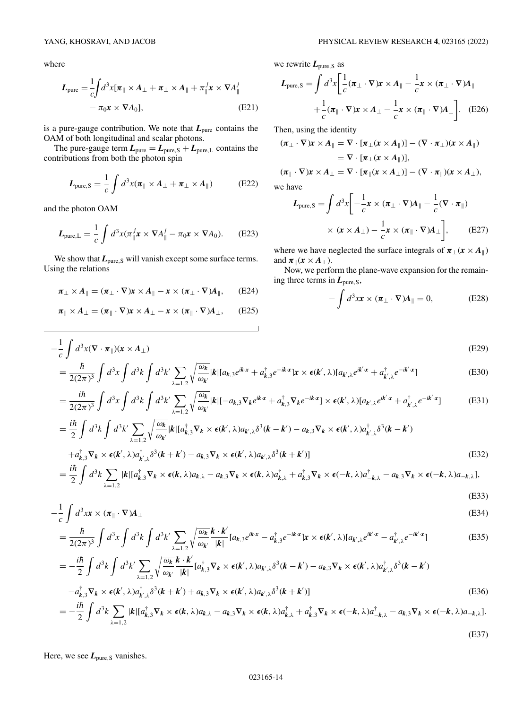<span id="page-13-0"></span>where

$$
L_{\text{pure}} = \frac{1}{c} \int d^3x [\pi_{\parallel} \times A_{\perp} + \pi_{\perp} \times A_{\parallel} + \pi_{\parallel}^j x \times \nabla A_{\parallel}^j
$$
  
-  $\pi_0 x \times \nabla A_0$ , (E21)

is a pure-gauge contribution. We note that  $L_{pure}$  contains the OAM of both longitudinal and scalar photons.

The pure-gauge term  $L_{pure} = L_{pure, S} + L_{pure, L}$  contains the contributions from both the photon spin

$$
L_{\text{pure},\text{S}} = \frac{1}{c} \int d^3x (\pi_{\parallel} \times A_{\perp} + \pi_{\perp} \times A_{\parallel})
$$
 (E22)

and the photon OAM

$$
L_{\text{pure},L} = \frac{1}{c} \int d^3x (\pi \dot{\parallel} \mathbf{x} \times \nabla A^j_{\parallel} - \pi_0 \mathbf{x} \times \nabla A_0). \tag{E23}
$$

We show that  $L_{pure, S}$  will vanish except some surface terms. Using the relations

$$
\pi_{\perp} \times A_{\parallel} = (\pi_{\perp} \cdot \nabla) \mathbf{x} \times A_{\parallel} - \mathbf{x} \times (\pi_{\perp} \cdot \nabla) A_{\parallel}, \qquad (E24)
$$

$$
\pi_{\parallel} \times A_{\perp} = (\pi_{\parallel} \cdot \nabla) x \times A_{\perp} - x \times (\pi_{\parallel} \cdot \nabla) A_{\perp}, \quad \text{(E25)}
$$

we rewrite  $L_{pure, S}$  as

$$
L_{\text{pure},S} = \int d^3x \left[ \frac{1}{c} (\pi_\perp \cdot \nabla) x \times A_\parallel - \frac{1}{c} x \times (\pi_\perp \cdot \nabla) A_\parallel \right. \\ + \frac{1}{c} (\pi_\parallel \cdot \nabla) x \times A_\perp - \frac{1}{c} x \times (\pi_\parallel \cdot \nabla) A_\perp \right]. \tag{E26}
$$

Then, using the identity

$$
(\pi_{\perp} \cdot \nabla)x \times A_{\parallel} = \nabla \cdot [\pi_{\perp}(x \times A_{\parallel})] - (\nabla \cdot \pi_{\perp})(x \times A_{\parallel})
$$
  
=  $\nabla \cdot [\pi_{\perp}(x \times A_{\parallel})],$   

$$
(\pi_{\parallel} \cdot \nabla)x \times A_{\perp} = \nabla \cdot [\pi_{\parallel}(x \times A_{\perp})] - (\nabla \cdot \pi_{\parallel})(x \times A_{\perp}),
$$

we have

$$
L_{\text{pure},S} = \int d^3x \left[ -\frac{1}{c} \mathbf{x} \times (\boldsymbol{\pi}_{\perp} \cdot \nabla) A_{\parallel} - \frac{1}{c} (\nabla \cdot \boldsymbol{\pi}_{\parallel}) \times (\mathbf{x} \times A_{\perp}) - \frac{1}{c} \mathbf{x} \times (\boldsymbol{\pi}_{\parallel} \cdot \nabla) A_{\perp} \right], \quad \text{(E27)}
$$

where we have neglected the surface integrals of  $\pi_{\perp}(x \times A_{\parallel})$ and  $\pi_{\parallel}(x \times A_{\perp}).$ 

Now, we perform the plane-wave expansion for the remaining three terms in  $L_{pure, S}$ ,

$$
-\int d^3x \mathbf{x} \times (\boldsymbol{\pi}_{\perp} \cdot \nabla) \mathbf{A}_{\parallel} = 0, \tag{E28}
$$

$$
-\frac{1}{c}\int d^3x (\nabla \cdot \pi_{\parallel})(\mathbf{x} \times \mathbf{A}_{\perp})
$$
\n
$$
=\frac{\hbar}{2(2\pi)^3}\int d^3x \int d^3k \int d^3k' \sum_{\lambda=1,3} \sqrt{\frac{\omega_k}{\omega_{k'}}}|k|[a_{k,3}e^{ik\cdot x}+a_{k,3}^{\dagger}e^{-ik\cdot x}] \mathbf{x} \times \epsilon(k',\lambda)[a_{k',\lambda}e^{ik'\cdot x}+a_{k',\lambda}^{\dagger}e^{-ik'\cdot x}]
$$
\n(E30)

 $\overline{\phantom{a}}$ 

$$
2(2\pi)^3 \int d^3x \int d^3k \int d^3k' \sum_{\lambda=1,2} \sqrt{\frac{\omega_k}{\omega_k}} |k| [-a_{k,3} \nabla_k e^{ikx} + a_{k,3}^\dagger \nabla_k e^{-ikx}] \times \epsilon(k',\lambda) [a_{k',\lambda} e^{ik'x} + a_{k,\lambda}^\dagger e^{-ik'x}]
$$
(E31)

$$
= \frac{i\hbar}{2} \int d^3k \int d^3k' \sum_{\lambda=1,2} \sqrt{\frac{\omega_k}{\omega_k}} |k| [a_{k,3}^\dagger \nabla_k \times \epsilon(k',\lambda) a_{k',\lambda} \delta^3(k-k') - a_{k,3} \nabla_k \times \epsilon(k',\lambda) a_{k',\lambda}^\dagger \delta^3(k-k')
$$
\n
$$
+ a_{k,3}^\dagger \nabla_k \times \epsilon(k',\lambda) a_{k',\lambda}^\dagger \delta^3(k+k') - a_{k,3} \nabla_k \times \epsilon(k',\lambda) a_{k,\lambda} \delta^3(k+k')]
$$
\n
$$
= \frac{i\hbar}{2} \int d^3k \sum |k| [a_{k,3}^\dagger \nabla_k \times \epsilon(k,\lambda) a_{k,\lambda} - a_{k,3} \nabla_k \times \epsilon(k,\lambda) a_{k,\lambda}^\dagger + a_{k,3}^\dagger \nabla_k \times \epsilon(-k,\lambda) a_{-k,\lambda}^\dagger - a_{k,3} \nabla_k \times \epsilon(-k,\lambda) a_{-k,\lambda}],
$$
\n(B32)

$$
= \frac{1}{2} \int d \kappa \sum_{\lambda=1,2} |\kappa| |u_{k,3} \mathbf{v}_k \times \boldsymbol{\epsilon}(\kappa, \lambda) u_{k,\lambda} - u_{k,3} \mathbf{v}_k \times \boldsymbol{\epsilon}(\kappa, \lambda) u_{k,\lambda} + u_{k,3} \mathbf{v}_k \times \boldsymbol{\epsilon}(-\kappa, \lambda) u_{-k,\lambda} - u_{k,3} \mathbf{v}_k \times \boldsymbol{\epsilon}(-\kappa, \lambda) u_{-k,\lambda},
$$
\n(E33)

$$
-\frac{1}{c}\int d^3x \mathbf{x} \times (\boldsymbol{\pi}_{\parallel} \cdot \nabla) \mathbf{A}_{\perp}
$$
 (E34)

$$
= \frac{\hbar}{2(2\pi)^3} \int d^3x \int d^3k \int d^3k' \sum_{\lambda=1,2} \sqrt{\frac{\omega_k}{\omega_{k'}}} \frac{\boldsymbol{k} \cdot \boldsymbol{k'}}{|\boldsymbol{k}|} [a_{k,3}e^{i\boldsymbol{k}\cdot\boldsymbol{x}} - a_{k,3}^{\dagger}e^{-i\boldsymbol{k}\cdot\boldsymbol{x}}] \boldsymbol{x} \times \boldsymbol{\epsilon}(\boldsymbol{k}',\lambda) [a_{k',\lambda}e^{i\boldsymbol{k}'\cdot\boldsymbol{x}} - a_{k',\lambda}^{\dagger}e^{-i\boldsymbol{k}'\cdot\boldsymbol{x}}] \qquad (E35)
$$
  

$$
= -\frac{i\hbar}{2} \int d^3k \int d^3k' \sum_{\lambda=1,3} \sqrt{\frac{\omega_k}{\omega_{k'}}} \frac{\boldsymbol{k} \cdot \boldsymbol{k'}}{|\boldsymbol{k}|} [a_{k,3}^{\dagger} \nabla_{\boldsymbol{k}} \times \boldsymbol{\epsilon}(\boldsymbol{k}',\lambda) a_{k',\lambda} \delta^3(\boldsymbol{k}-\boldsymbol{k}') - a_{k,3} \nabla_{\boldsymbol{k}} \times \boldsymbol{\epsilon}(\boldsymbol{k}',\lambda) a_{k',\lambda}^{\dagger} \delta^3(\boldsymbol{k}-\boldsymbol{k}')
$$

$$
2 \int d^{2}x \int d^{2}x \sum_{\lambda=1,2} \sqrt{\omega_{k'}} |k|^{2k} k^{3-k} \Lambda^{2k} \left(\frac{1}{2} \left(1 + \frac{1}{2} \left(1 + \frac{1}{2} \left(1 + \frac{1}{2} \right) \right) \right) \right) d^{2}x}
$$
\n
$$
-a_{k,3}^{\dagger} \nabla_{k} \times \epsilon(k',\lambda) a_{k',\lambda}^{\dagger} \delta^{3}(k+k') + a_{k,3} \nabla_{k} \times \epsilon(k',\lambda) a_{k',\lambda} \delta^{3}(k+k')]
$$
\n(E36)\n
$$
i\hbar \int d^{3}k \nabla_{k} \times [k] \left[\frac{1}{2} \left(1 + \frac{1}{2} \left(1 + \frac{1}{2} \left(1 + \frac{1}{2} \right) \right) \right] \left(\frac{k}{2} + \frac{1}{2} \left(1 + \frac{1}{2} \left(1 + \frac{1}{2} \right) \right) \right) \delta^{3}(k+k')\right] \left(\frac{k}{2} + \frac{1}{2} \left(1 + \frac{1}{2} \left(1 + \frac{1}{2} \left(1 + \frac{1}{2} \right) \right) \right) \delta^{3}(k+k')\right] \left(\frac{k}{2} + \frac{1}{2} \left(1 + \frac{1}{2} \left(1 + \frac{1}{2} \left(1 + \frac{1}{2} \right) \right) \right) \delta^{3}(k+k')\right] \left(\frac{k}{2} + \frac{1}{2} \left(1 + \frac{1}{2} \left(1 + \frac{1}{2} \left(1 + \frac{1}{2} \right) \right) \right) \delta^{3}(k+k')\right] \left(\frac{k}{2} + \frac{1}{2} \left(1 + \frac{1}{2} \left(1 + \frac{1}{2} \left(1 + \frac{1}{2} \right) \right) \right) \delta^{3}(k+k')\right] \left(\frac{k}{2} + \frac{1}{2} \left(1 + \frac{1}{2} \left(1 + \frac{1}{2} \right) \right) \delta^{3}(k+k')\right) \left(\frac{k}{2} + \frac{1}{2} \left(1 + \frac{1}{2} \left(1 + \frac{1}{2} \right) \right) \delta^{3}(k+k')
$$

$$
= -\frac{i\hbar}{2} \int d^3k \sum_{\lambda=1,2} |k| [a_{k,3}^\dagger \nabla_k \times \epsilon(k,\lambda)a_{k,\lambda} - a_{k,3} \nabla_k \times \epsilon(k,\lambda)a_{k,\lambda}^\dagger + a_{k,3}^\dagger \nabla_k \times \epsilon(-k,\lambda)a_{-k,\lambda}^\dagger - a_{k,3} \nabla_k \times \epsilon(-k,\lambda)a_{-k,\lambda}].
$$
\n(E37)

Here, we see  $L_{pure,S}$  vanishes.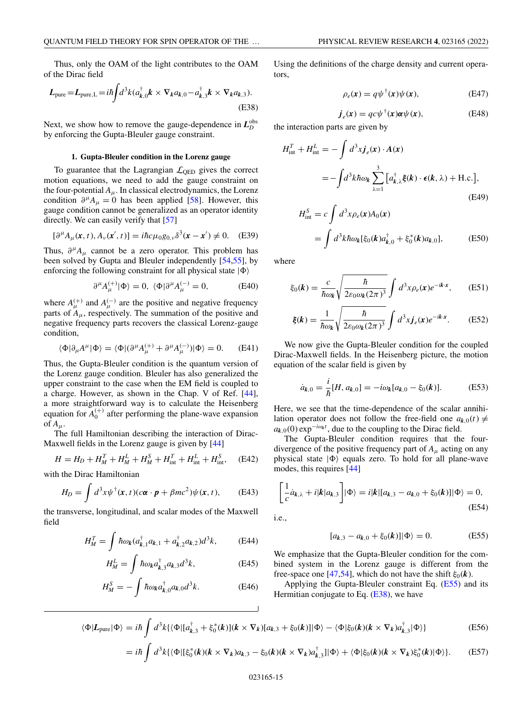Thus, only the OAM of the light contributes to the OAM of the Dirac field

$$
L_{\text{pure}} = L_{\text{pure},L} = i\hbar \int d^3k (a_{k,0}^\dagger k \times \nabla_k a_{k,0} - a_{k,3}^\dagger k \times \nabla_k a_{k,3}).
$$
\n(E38)

Next, we show how to remove the gauge-dependence in  $L_D^{\text{obs}}$ by enforcing the Gupta-Bleuler gauge constraint.

#### **1. Gupta-Bleuler condition in the Lorenz gauge**

To guarantee that the Lagrangian  $\mathcal{L}_{\text{QED}}$  gives the correct motion equations, we need to add the gauge constraint on the four-potential  $A_\mu$ . In classical electrodynamics, the Lorenz condition  $\partial^{\mu}A_{\mu} = 0$  has been applied [\[58\]](#page-20-0). However, this gauge condition cannot be generalized as an operator identity directly. We can easily verify that [\[57\]](#page-20-0)

$$
[\partial^{\mu} A_{\mu}(x, t), A_{\nu}(x', t)] = i\hbar c \mu_0 g_{0,\nu} \delta^3(x - x') \neq 0.
$$
 (E39)

Thus,  $\partial^{\mu}A_{\mu}$  cannot be a zero operator. This problem has been solved by Gupta and Bleuler independently [\[54](#page-19-0)[,55\]](#page-20-0), by enforcing the following constraint for all physical state  $|\Phi\rangle$ 

$$
\partial^{\mu}A_{\mu}^{(+)}|\Phi\rangle = 0, \ \langle \Phi|\partial^{\mu}A_{\mu}^{(-)} = 0, \tag{E40}
$$

where  $A_{\mu}^{(+)}$  and  $A_{\mu}^{(-)}$  are the positive and negative frequency parts of  $A_{\mu}$ , respectively. The summation of the positive and negative frequency parts recovers the classical Lorenz-gauge condition,

$$
\langle \Phi | \partial_{\mu} A^{\mu} | \Phi \rangle = \langle \Phi | (\partial^{\mu} A_{\mu}^{(+)} + \partial^{\mu} A_{\mu}^{(-)}) | \Phi \rangle = 0. \quad \text{(E41)}
$$

Thus, the Gupta-Bleuler condition is the quantum version of the Lorenz gauge condition. Bleuler has also generalized the upper constraint to the case when the EM field is coupled to a charge. However, as shown in the Chap. V of Ref. [\[44\]](#page-19-0), a more straightforward way is to calculate the Heisenberg equation for  $A_0^{(+)}$  after performing the plane-wave expansion of  $A_\mu$ .

The full Hamiltonian describing the interaction of Dirac-Maxwell fields in the Lorenz gauge is given by [\[44\]](#page-19-0)

$$
H = H_D + H_M^T + H_M^L + H_M^S + H_{int}^T + H_{int}^L + H_{int}^S,
$$
 (E42)

with the Dirac Hamiltonian

$$
H_D = \int d^3x \psi^{\dagger}(\mathbf{x}, t)(c\mathbf{\alpha} \cdot \mathbf{p} + \beta mc^2) \psi(\mathbf{x}, t), \quad \text{(E43)}
$$

the transverse, longitudinal, and scalar modes of the Maxwell field

$$
H_M^T = \int \hbar \omega_k (a_{k,1}^\dagger a_{k,1} + a_{k,2}^\dagger a_{k,2}) d^3 k, \qquad (E44)
$$

$$
H_M^L = \int \hbar \omega_k a_{k,3}^\dagger a_{k,3} d^3 k,\tag{E45}
$$

$$
H_M^S = -\int \hbar \omega_k a_{k,0}^\dagger a_{k,0} d^3 k. \tag{E46}
$$

Using the definitions of the charge density and current operators,

$$
\rho_e(\mathbf{x}) = q\psi^\dagger(\mathbf{x})\psi(\mathbf{x}),\tag{E47}
$$

$$
\dot{\mathbf{j}}_e(\mathbf{x}) = qc\psi^{\dagger}(\mathbf{x})\alpha\psi(\mathbf{x}),\tag{E48}
$$

the interaction parts are given by

$$
H_{int}^{T} + H_{int}^{L} = -\int d^{3}x j_{e}(x) \cdot A(x)
$$
  

$$
= -\int d^{3}k \hbar \omega_{k} \sum_{\lambda=1}^{3} \left[ a_{k,\lambda}^{\dagger} \xi(k) \cdot \epsilon(k,\lambda) + \text{H.c.} \right],
$$
  
(E49)  

$$
H_{e}^{S} = c \int d^{3}x \rho_{e}(x) A_{0}(x)
$$

$$
H_{\text{int}}^{S} = c \int d^{3}x \rho_{e}(x) A_{0}(x)
$$
  
= 
$$
\int d^{3}k \hbar \omega_{k} [\xi_{0}(k) a_{k,0}^{\dagger} + \xi_{0}^{*}(k) a_{k,0}],
$$
 (E50)

where

$$
\xi_0(\mathbf{k}) = \frac{c}{\hbar \omega_\mathbf{k}} \sqrt{\frac{\hbar}{2\varepsilon_0 \omega_\mathbf{k} (2\pi)^3}} \int d^3x \rho_e(\mathbf{x}) e^{-i\mathbf{k} \cdot \mathbf{x}}, \qquad \text{(E51)}
$$

$$
\xi(k) = \frac{1}{\hbar \omega_k} \sqrt{\frac{\hbar}{2\varepsilon_0 \omega_k (2\pi)^3}} \int d^3x j_e(\mathbf{x}) e^{-ik \cdot \mathbf{x}}.
$$
 (E52)

We now give the Gupta-Bleuler condition for the coupled Dirac-Maxwell fields. In the Heisenberg picture, the motion equation of the scalar field is given by

$$
\dot{a}_{k,0} = \frac{i}{\hbar} [H, a_{k,0}] = -i\omega_k [a_{k,0} - \xi_0(k)].
$$
 (E53)

Here, we see that the time-dependence of the scalar annihilation operator does not follow the free-field one  $a_{k,0}(t) \neq$  $a_{k,0}(0)$  exp<sup> $-i\omega_k t$ </sup>, due to the coupling to the Dirac field.

The Gupta-Bleuler condition requires that the fourdivergence of the positive frequency part of  $A_\mu$  acting on any physical state  $|\Phi\rangle$  equals zero. To hold for all plane-wave modes, this requires [\[44\]](#page-19-0)

$$
\begin{bmatrix} \frac{1}{c} \dot{a}_{k,\lambda} + i|k|a_{k,3} \end{bmatrix} |\Phi\rangle = i|k|[a_{k,3} - a_{k,0} + \xi_0(k)]|\Phi\rangle = 0,
$$
\n(E54)

i.e.,

$$
[a_{k,3} - a_{k,0} + \xi_0(k)]|\Phi\rangle = 0.
$$
 (E55)

We emphasize that the Gupta-Bleuler condition for the combined system in the Lorenz gauge is different from the free-space one [\[47,54\]](#page-19-0), which do not have the shift  $\xi_0(\mathbf{k})$ .

Applying the Gupta-Bleuler constraint Eq. (E55) and its Hermitian conjugate to Eq.  $(E38)$ , we have

$$
\langle \Phi | L_{pure} | \Phi \rangle = i\hbar \int d^3k \{ \langle \Phi | [a_{k,3}^{\dagger} + \xi_0^*(k)](k \times \nabla_k)[a_{k,3} + \xi_0(k)] | \Phi \rangle - \langle \Phi | \xi_0(k)(k \times \nabla_k) a_{k,3}^{\dagger} | \Phi \rangle \} \tag{E56}
$$
  

$$
= i\hbar \int d^3k \{ \langle \Phi | [\xi_0^*(k)(k \times \nabla_k)a_{k,3} - \xi_0(k)(k \times \nabla_k) a_{k,3}^{\dagger}] | \Phi \rangle + \langle \Phi | \xi_0(k)(k \times \nabla_k) \xi_0^*(k) | \Phi \rangle \}.
$$

#### 023165-15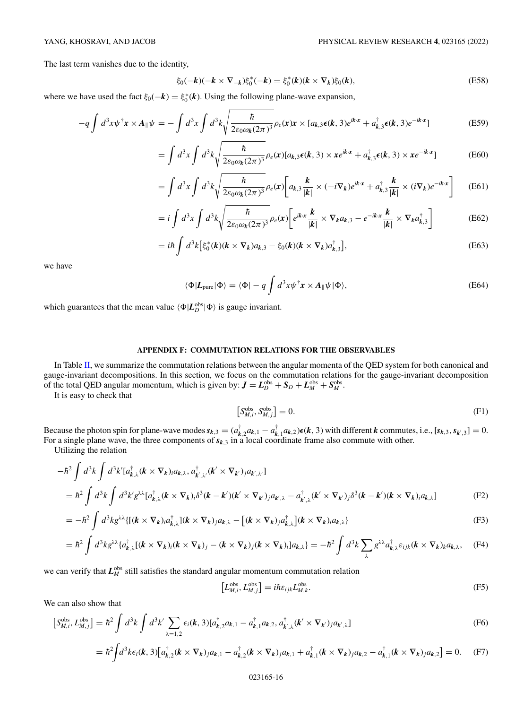<span id="page-15-0"></span>The last term vanishes due to the identity,

$$
\xi_0(-k)(-k \times \nabla_{-k})\xi_0^*(-k) = \xi_0^*(k)(k \times \nabla_k)\xi_0(k),
$$
 (E58)

where we have used the fact  $\xi_0(-k) = \xi_0^*(k)$ . Using the following plane-wave expansion,

$$
-q\int d^3x \psi^\dagger \mathbf{x} \times A_{\parallel} \psi = -\int d^3x \int d^3k \sqrt{\frac{\hbar}{2\varepsilon_0 \omega_k (2\pi)^3}} \rho_e(\mathbf{x}) \mathbf{x} \times [a_{k,3}\epsilon(\mathbf{k},3)e^{i\mathbf{k}\cdot\mathbf{x}} + a_{k,3}^\dagger \epsilon(\mathbf{k},3)e^{-i\mathbf{k}\cdot\mathbf{x}}]
$$
(E59)

$$
= \int d^3x \int d^3k \sqrt{\frac{\hbar}{2\varepsilon_0 \omega_k (2\pi)^3}} \rho_e(\mathbf{x}) [a_{k,3}\epsilon(k,3) \times x e^{ik \cdot \mathbf{x}} + a_{k,3}^\dagger \epsilon(k,3) \times x e^{-ik \cdot \mathbf{x}}]
$$
(E60)

$$
= \int d^3x \int d^3k \sqrt{\frac{\hbar}{2\varepsilon_0 \omega_k (2\pi)^3}} \rho_e(x) \left[ a_{k,3} \frac{k}{|k|} \times (-i\nabla_k) e^{ik \cdot x} + a_{k,3}^\dagger \frac{k}{|k|} \times (i\nabla_k) e^{-ik \cdot x} \right] \tag{E61}
$$

$$
=i\int d^3x \int d^3k \sqrt{\frac{\hbar}{2\varepsilon_0 \omega_k (2\pi)^3}} \rho_e(x) \left[ e^{ik\cdot x} \frac{k}{|k|} \times \nabla_k a_{k,3} - e^{-ik\cdot x} \frac{k}{|k|} \times \nabla_k a_{k,3}^\dagger \right]
$$
(E62)

$$
=i\hbar \int d^3k \left[\xi_0^*(\mathbf{k})(\mathbf{k}\times\nabla_{\mathbf{k}})a_{\mathbf{k},3}-\xi_0(\mathbf{k})(\mathbf{k}\times\nabla_{\mathbf{k}})a_{\mathbf{k},3}^\dagger\right],\tag{E63}
$$

we have

$$
\langle \Phi | L_{\text{pure}} | \Phi \rangle = \langle \Phi | -q \int d^3 x \psi^\dagger x \times A_{\parallel} \psi | \Phi \rangle, \tag{E64}
$$

which guarantees that the mean value  $\langle \Phi | L_D^{\text{obs}} | \Phi \rangle$  is gauge invariant.

### **APPENDIX F: COMMUTATION RELATIONS FOR THE OBSERVABLES**

In Table [II,](#page-3-0) we summarize the commutation relations between the angular momenta of the QED system for both canonical and gauge-invariant decompositions. In this section, we focus on the commutation relations for the gauge-invariant decomposition of the total QED angular momentum, which is given by:  $J = L_D^{\text{obs}} + S_D + L_M^{\text{obs}} + S_M^{\text{obs}}$ .

It is easy to check that

$$
\left[S_{M,i}^{\text{obs}}, S_{M,j}^{\text{obs}}\right] = 0. \tag{F1}
$$

Because the photon spin for plane-wave modes  $s_{k,3} = (a_{k,2}^{\dagger} a_{k,1} - a_{k,1}^{\dagger} a_{k,2}) \epsilon(k, 3)$  with different k commutes, i.e.,  $[s_{k,3}, s_{k,3}] = 0$ . For a single plane wave, the three components of  $s_{k,3}$  in a local coordinate frame also commute with other.

Utilizing the relation

$$
-\hbar^2 \int d^3k \int d^3k' \left[a_{k,\lambda}^\dagger(\mathbf{k} \times \nabla_k)_{i} a_{k,\lambda}, a_{k',\lambda'}^\dagger(\mathbf{k}' \times \nabla_{k'})_{j} a_{k',\lambda'}\right]
$$
  
=  $\hbar^2 \int d^3k \int d^3k' g^{\lambda\lambda} \left[a_{k,\lambda}^\dagger(\mathbf{k} \times \nabla_k)_{i} \delta^3(\mathbf{k} - \mathbf{k}')(\mathbf{k}' \times \nabla_{k'})_{j} a_{k',\lambda} - a_{k',\lambda}^\dagger(\mathbf{k}' \times \nabla_{k'})_{j} \delta^3(\mathbf{k} - \mathbf{k}')(\mathbf{k} \times \nabla_k)_{i} a_{k,\lambda}\right]$  (F2)

$$
= -\hbar^2 \int d^3k g^{\lambda\lambda} \{ [(k \times \nabla_k)_{i} a_{k,\lambda}^{\dagger} ] (k \times \nabla_k)_{j} a_{k,\lambda} - [(k \times \nabla_k)_{j} a_{k,\lambda}^{\dagger} ] (k \times \nabla_k)_{i} a_{k,\lambda} \}
$$
(F3)

$$
= \hbar^2 \int d^3k g^{\lambda\lambda} \{a_{k,\lambda}^\dagger [(\mathbf{k} \times \nabla_k)_i (\mathbf{k} \times \nabla_k)_j - (\mathbf{k} \times \nabla_k)_j (\mathbf{k} \times \nabla_k)_i] a_{k,\lambda} \} = -\hbar^2 \int d^3k \sum_{\lambda} g^{\lambda\lambda} a_{k,\lambda}^\dagger \varepsilon_{ijk} (\mathbf{k} \times \nabla_k)_k a_{k,\lambda}, \quad \text{(F4)}
$$

we can verify that  $L_M^{\text{obs}}$  still satisfies the standard angular momentum commutation relation

$$
\left[L_{M,i}^{\text{obs}}, L_{M,j}^{\text{obs}}\right] = i\hbar\varepsilon_{ijk}L_{M,k}^{\text{obs}}.\tag{F5}
$$

We can also show that

$$
\begin{split} \left[S_{M,i}^{\text{obs}}, L_{M,j}^{\text{obs}}\right] &= \hbar^{2} \int d^{3}k \int d^{3}k' \sum_{\lambda=1,2} \epsilon_{i}(\mathbf{k},3) [a_{\mathbf{k},2}^{\dagger} a_{\mathbf{k},1} - a_{\mathbf{k},1}^{\dagger} a_{\mathbf{k},2}, a_{\mathbf{k}',\lambda}^{\dagger}(\mathbf{k}' \times \nabla_{\mathbf{k}'})_{j} a_{\mathbf{k}',\lambda}] \\ &= \hbar^{2} \int d^{3}k \epsilon_{i}(\mathbf{k},3) [a_{\mathbf{k},2}^{\dagger}(\mathbf{k} \times \nabla_{\mathbf{k}})_{j} a_{\mathbf{k},1} - a_{\mathbf{k},2}^{\dagger}(\mathbf{k} \times \nabla_{\mathbf{k}})_{j} a_{\mathbf{k},1} + a_{\mathbf{k},1}^{\dagger}(\mathbf{k} \times \nabla_{\mathbf{k}})_{j} a_{\mathbf{k},2} - a_{\mathbf{k},1}^{\dagger}(\mathbf{k} \times \nabla_{\mathbf{k}})_{j} a_{\mathbf{k},2}] = 0. \end{split} \tag{F6}
$$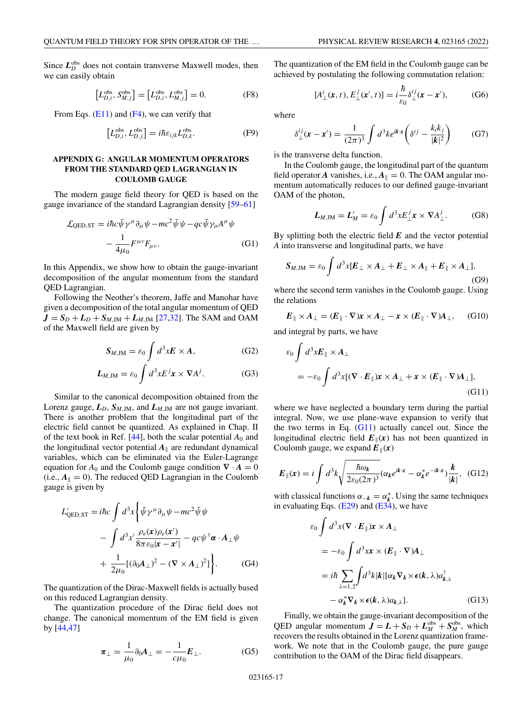<span id="page-16-0"></span>Since  $L_D^{obs}$  does not contain transverse Maxwell modes, then we can easily obtain

$$
[L_{D,i}^{\text{obs}}, S_{M,j}^{\text{obs}}] = [L_{D,i}^{\text{obs}}, L_{M,j}^{\text{obs}}] = 0.
$$
 (F8)

From Eqs.  $(E11)$  and  $(F4)$ , we can verify that

$$
[L_{D,i}^{\text{obs}}, L_{D,j}^{\text{obs}}] = i\hbar \varepsilon_{ijk} L_{D,k}^{\text{obs}}.
$$
 (F9)

# **APPENDIX G: ANGULAR MOMENTUM OPERATORS FROM THE STANDARD QED LAGRANGIAN IN COULOMB GAUGE**

The modern gauge field theory for QED is based on the gauge invariance of the standard Lagrangian density [\[59–61\]](#page-20-0)

$$
\mathcal{L}_{\text{QED,ST}} = i\hbar c \bar{\psi} \gamma^{\mu} \partial_{\mu} \psi - mc^{2} \bar{\psi} \psi - qc \bar{\psi} \gamma_{\mu} A^{\mu} \psi \n- \frac{1}{4\mu_{0}} F^{\mu \nu} F_{\mu \nu}.
$$
\n(G1)

In this Appendix, we show how to obtain the gauge-invariant decomposition of the angular momentum from the standard QED Lagrangian.

Following the Neother's theorem, Jaffe and Manohar have given a decomposition of the total angular momentum of QED  $J = S_D + L_D + S_{M, JM} + L_{M, JM}$  [\[27,32\]](#page-19-0). The SAM and OAM of the Maxwell field are given by

$$
S_{M,\text{JM}} = \varepsilon_0 \int d^3x E \times A,\tag{G2}
$$

$$
L_{M,\text{JM}} = \varepsilon_0 \int d^3x E^j \mathbf{x} \times \nabla A^j. \tag{G3}
$$

Similar to the canonical decomposition obtained from the Lorenz gauge,  $L_D$ ,  $S_{M,IM}$ , and  $L_{M,IM}$  are not gauge invariant. There is another problem that the longitudinal part of the electric field cannot be quantized. As explained in Chap. II of the text book in Ref.  $[44]$ , both the scalar potential  $A_0$  and the longitudinal vector potential  $A_{\parallel}$  are redundant dynamical variables, which can be eliminated via the Euler-Lagrange equation for  $A_0$  and the Coulomb gauge condition  $\nabla \cdot A = 0$  $(i.e.,  $A_{\parallel} = 0$ ). The reduced QED Lagrangian in the Coulomb$ gauge is given by

$$
L'_{\text{QED,ST}} = i\hbar c \int d^3x \left\{ \bar{\psi} \gamma^{\mu} \partial_{\mu} \psi - mc^2 \bar{\psi} \psi \right\}
$$

$$
- \int d^3x' \frac{\rho_e(\mathbf{x}) \rho_e(\mathbf{x}')}{8\pi \varepsilon_0 |\mathbf{x} - \mathbf{x}'|} - qc \psi^{\dagger} \alpha \cdot A_{\perp} \psi
$$

$$
+ \frac{1}{2\mu_0} [(\partial_0 A_{\perp})^2 - (\nabla \times A_{\perp})^2] \right\}.
$$
 (G4)

The quantization of the Dirac-Maxwell fields is actually based on this reduced Lagrangian density.

The quantization procedure of the Dirac field does not change. The canonical momentum of the EM field is given by [\[44,47\]](#page-19-0)

$$
\boldsymbol{\pi}_{\perp} = \frac{1}{\mu_0} \partial_0 \mathbf{A}_{\perp} = -\frac{1}{c\mu_0} \boldsymbol{E}_{\perp}.
$$
 (G5)

The quantization of the EM field in the Coulomb gauge can be achieved by postulating the following commutation relation:

$$
[A^i_\perp(\mathbf{x},t), E^j_\perp(\mathbf{x}',t)] = i \frac{\hbar}{\varepsilon_0} \delta^{ij}_\perp(\mathbf{x}-\mathbf{x}'), \quad (G6)
$$

where

$$
\delta^{ij}_{\perp}(\mathbf{x} - \mathbf{x}') = \frac{1}{(2\pi)^3} \int d^3k e^{i\mathbf{k} \cdot \mathbf{x}} \left( \delta^{ij} - \frac{k_i k_j}{|\mathbf{k}|^2} \right) \tag{G7}
$$

is the transverse delta function.

In the Coulomb gauge, the longitudinal part of the quantum field operator *A* vanishes, i.e.,  $A_{\parallel} = 0$ . The OAM angular momentum automatically reduces to our defined gauge-invariant OAM of the photon,

$$
L_{M,\text{JM}} = L'_M = \varepsilon_0 \int d^3x E^j_{\perp} \mathbf{x} \times \nabla A^j_{\perp}. \tag{G8}
$$

By splitting both the electric field *E* and the vector potential *A* into transverse and longitudinal parts, we have

$$
S_{M,\text{JM}} = \varepsilon_0 \int d^3x [E_{\perp} \times A_{\perp} + E_{\perp} \times A_{\parallel} + E_{\parallel} \times A_{\perp}],
$$
\n(G9)

where the second term vanishes in the Coulomb gauge. Using the relations

$$
\boldsymbol{E}_{\parallel} \times \boldsymbol{A}_{\perp} = (\boldsymbol{E}_{\parallel} \cdot \nabla) \boldsymbol{x} \times \boldsymbol{A}_{\perp} - \boldsymbol{x} \times (\boldsymbol{E}_{\parallel} \cdot \nabla) \boldsymbol{A}_{\perp}, \quad (G10)
$$

and integral by parts, we have

$$
\varepsilon_0 \int d^3x E_{\parallel} \times A_{\perp}
$$
  
= 
$$
-\varepsilon_0 \int d^3x [(\nabla \cdot E_{\parallel}) x \times A_{\perp} + x \times (E_{\parallel} \cdot \nabla) A_{\perp}],
$$
(G11)

where we have neglected a boundary term during the partial integral. Now, we use plane-wave expansion to verify that the two terms in Eq.  $(G11)$  actually cancel out. Since the longitudinal electric field  $E_{\parallel}(x)$  has not been quantized in Coulomb gauge, we expand  $E_{\parallel}(x)$ 

$$
\boldsymbol{E}_{\parallel}(\boldsymbol{x}) = i \int d^3k \sqrt{\frac{\hbar \omega_k}{2\varepsilon_0 (2\pi)^3}} (\alpha_k e^{ik \cdot \boldsymbol{x}} - \alpha_k^* e^{-ik \cdot \boldsymbol{x}}) \frac{\boldsymbol{k}}{|\boldsymbol{k}|}, \quad (G12)
$$

with classical functions  $\alpha_{-k} = \alpha_k^*$ . Using the same techniques in evaluating Eqs.  $(E29)$  and  $(E34)$ , we have

$$
\varepsilon_0 \int d^3x (\nabla \cdot \mathbf{E}_{\parallel}) \mathbf{x} \times \mathbf{A}_{\perp}
$$
  
=  $-\varepsilon_0 \int d^3x \mathbf{x} \times (\mathbf{E}_{\parallel} \cdot \nabla) \mathbf{A}_{\perp}$   
=  $i\hbar \sum_{\lambda=1,2} \int d^3k |k| [\alpha_k \nabla_k \times \epsilon(\mathbf{k}, \lambda) a_{\mathbf{k},\lambda}^{\dagger}]$   
 $- \alpha_k^* \nabla_k \times \epsilon(\mathbf{k}, \lambda) a_{\mathbf{k},\lambda}].$  (G13)

Finally, we obtain the gauge-invariant decomposition of the QED angular momentum  $\mathbf{J} = \mathbf{L} + \mathbf{S}_D + \mathbf{L}_M^{\text{obs}} + \mathbf{S}_M^{\text{obs}}$ , which recovers the results obtained in the Lorenz quantization framework. We note that in the Coulomb gauge, the pure gauge contribution to the OAM of the Dirac field disappears.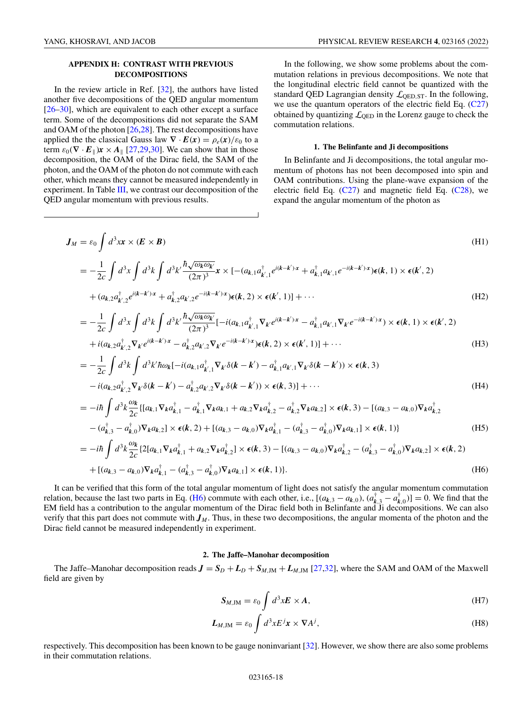## <span id="page-17-0"></span>**APPENDIX H: CONTRAST WITH PREVIOUS DECOMPOSITIONS**

In the review article in Ref. [\[32\]](#page-19-0), the authors have listed another five decompositions of the QED angular momentum [\[26–30\]](#page-19-0), which are equivalent to each other except a surface term. Some of the decompositions did not separate the SAM and OAM of the photon [\[26,28\]](#page-19-0). The rest decompositions have applied the the classical Gauss law  $\nabla \cdot \mathbf{E}(\mathbf{x}) = \rho_e(\mathbf{x})/\varepsilon_0$  to a term  $\varepsilon_0(\nabla \cdot \mathbf{E}_{\parallel}) \mathbf{x} \times \mathbf{A}_{\parallel}$  [\[27,29,30\]](#page-19-0). We can show that in those decomposition, the OAM of the Dirac field, the SAM of the photon, and the OAM of the photon do not commute with each other, which means they cannot be measured independently in experiment. In Table [III,](#page-6-0) we contrast our decomposition of the QED angular momentum with previous results.

In the following, we show some problems about the commutation relations in previous decompositions. We note that the longitudinal electric field cannot be quantized with the standard QED Lagrangian density  $\mathcal{L}_{\text{QED,ST}}$ . In the following, we use the quantum operators of the electric field Eq. [\(C27\)](#page-11-0) obtained by quantizing  $\mathcal{L}_{\text{OED}}$  in the Lorenz gauge to check the commutation relations.

#### **1. The Belinfante and Ji decompositions**

In Belinfante and Ji decompositions, the total angular momentum of photons has not been decomposed into spin and OAM contributions. Using the plane-wave expansion of the electric field Eq.  $(C27)$  and magnetic field Eq.  $(C28)$ , we expand the angular momentum of the photon as

$$
J_M = \varepsilon_0 \int d^3 x \mathbf{x} \times (\mathbf{E} \times \mathbf{B})
$$
\n
$$
= -\frac{1}{2c} \int d^3 x \int d^3 k \int d^3 k' \frac{\hbar \sqrt{\omega_k \omega_k}}{(2\pi)^3} \mathbf{x} \times [-(a_{k,1}a_{k,1}^\dagger e^{i(k-k')\cdot \mathbf{x}} + a_{k,1}^\dagger a_{k,1} e^{-i(k-k')\cdot \mathbf{x}}) \epsilon(k,1) \times \epsilon(k',2)
$$
\n(H1)

$$
+ (a_{k,2}a_{k,2}^{\dagger}e^{i(k-k')\cdot x} + a_{k,2}^{\dagger}a_{k,2}e^{-i(k-k')\cdot x})\epsilon(k,2) \times \epsilon(k',1)] + \cdots
$$
\n(H2)

$$
= -\frac{1}{2c} \int d^3x \int d^3k \int d^3k' \frac{\hbar \sqrt{\omega_k \omega_k}}{(2\pi)^3} [-i(a_{k,1}a_{k,1}^\dagger \nabla_k e^{i(k-k')\cdot x} - a_{k,1}^\dagger a_{k,1} \nabla_k e^{-i(k-k')\cdot x}) \times \epsilon(k,1) \times \epsilon(k',2)
$$
  
+  $i(a_{k,2}a_{k,2}^\dagger \nabla_k e^{i(k-k')\cdot x} - a_{k,2}^\dagger a_{k,2} \nabla_k e^{-i(k-k')\cdot x}) \epsilon(k,2) \times \epsilon(k',1)] + \cdots$  (H3)

$$
= -\frac{1}{2c} \int d^3k \int d^3k' \hbar \omega_k [-i(a_{k,1}a_{k,1}^\dagger \nabla_k \delta(\mathbf{k} - \mathbf{k}') - a_{k,1}^\dagger a_{k,1} \nabla_k \delta(\mathbf{k} - \mathbf{k}')) \times \epsilon(\mathbf{k}, 3)
$$
  
\n
$$
-i(a_{k,2}a_{k,2}^\dagger \nabla_k \delta(\mathbf{k} - \mathbf{k}') - a_{k,2}^\dagger a_{k,2} \nabla_k \delta(\mathbf{k} - \mathbf{k}')) \times \epsilon(\mathbf{k}, 3)] + \cdots
$$
  
\n
$$
= -i\hbar \int d^3k \frac{\omega_k}{\mu} [a_{k,1} \nabla_k a_{k,2}^\dagger \nabla_k a_{k,1} + a_{k,2} \nabla_k a_{k,1}^\dagger \nabla_k a_{k,2}] \times \epsilon(\mathbf{k}, 3) - [a_{k,2} - a_{k,2}] \nabla_k a_{k,1}^\dagger
$$
 (H4)

$$
= -i\hbar \int d^{3}k \frac{\omega_{k}}{2c} \{ [a_{k,1}\nabla_{k}a_{k,1}^{\dagger} - a_{k,1}^{\dagger}\nabla_{k}a_{k,1} + a_{k,2}\nabla_{k}a_{k,2}^{\dagger} - a_{k,2}^{\dagger}\nabla_{k}a_{k,2}] \times \epsilon(k,3) - [(a_{k,3} - a_{k,0})\nabla_{k}a_{k,2}^{\dagger} - (a_{k,3}^{\dagger} - a_{k,0}^{\dagger})\nabla_{k}a_{k,2}] \times \epsilon(k,2) + [(a_{k,3} - a_{k,0})\nabla_{k}a_{k,1}^{\dagger} - (a_{k,3}^{\dagger} - a_{k,0}^{\dagger})\nabla_{k}a_{k,1}] \times \epsilon(k,1) \} \tag{H5}
$$
  
\n
$$
= -i\hbar \int d^{3}k \frac{\omega_{k}}{2c} \{ 2[a_{k,1}\nabla_{k}a_{k,1}^{\dagger} + a_{k,2}\nabla_{k}a_{k,2}^{\dagger}] \times \epsilon(k,3) - [(a_{k,3} - a_{k,0})\nabla_{k}a_{k,2}^{\dagger} - (a_{k,3}^{\dagger} - a_{k,0}^{\dagger})\nabla_{k}a_{k,2}] \times \epsilon(k,2) \times \epsilon(k,2) \times \epsilon(k,3) - [(a_{k,3} - a_{k,0})\nabla_{k}a_{k,2}^{\dagger} - (a_{k,3}^{\dagger} - a_{k,0}^{\dagger})\nabla_{k}a_{k,2}] \times \epsilon(k,1) \}.
$$

It can be verified that this form of the total angular momentum of light does not satisfy the angular momentum commutation relation, because the last two parts in Eq. (H6) commute with each other, i.e.,  $[(a_{k,3} - a_{k,0}), (a_{k,3}^{\dagger} - a_{k,0}^{\dagger})] = 0$ . We find that the EM field has a contribution to the angular momentum of the Dirac field both in Belinfante and Ji decompositions. We can also verify that this part does not commute with  $J_M$ . Thus, in these two decompositions, the angular momenta of the photon and the Dirac field cannot be measured independently in experiment.

#### **2. The Jaffe–Manohar decomposition**

The Jaffe–Manohar decomposition reads  $J = S_D + L_D + S_{M,IM} + L_{M,IM}$  [\[27,32\]](#page-19-0), where the SAM and OAM of the Maxwell field are given by

$$
S_{M,\text{JM}} = \varepsilon_0 \int d^3x E \times A,\tag{H7}
$$

$$
L_{M, \text{JM}} = \varepsilon_0 \int d^3x E^j \mathbf{x} \times \nabla A^j, \tag{H8}
$$

respectively. This decomposition has been known to be gauge noninvariant [\[32\]](#page-19-0). However, we show there are also some problems in their commutation relations.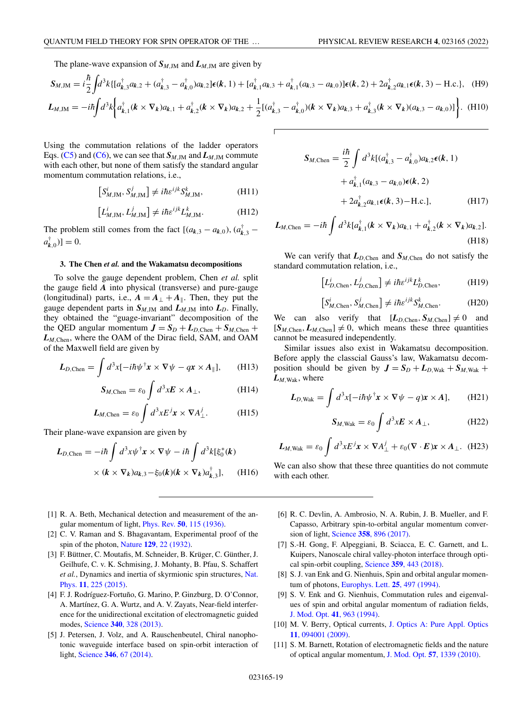<span id="page-18-0"></span>The plane-wave expansion of  $S_{M,IM}$  and  $L_{M,IM}$  are given by

$$
S_{M, \text{JM}} = i\frac{\hbar}{2} \int d^3k \{ [a_{k,3}^\dagger a_{k,2} + (a_{k,3}^\dagger - a_{k,0}^\dagger)a_{k,2}] \epsilon(k, 1) + [a_{k,1}^\dagger a_{k,3} + a_{k,1}^\dagger (a_{k,3} - a_{k,0})] \epsilon(k, 2) + 2a_{k,2}^\dagger a_{k,1} \epsilon(k, 3) - \text{H.c.} \}, \quad \text{(H9)}
$$
\n
$$
L_{M, \text{JM}} = -i\hbar \int d^3k \left\{ a_{k,1}^\dagger (k \times \nabla_k) a_{k,1} + a_{k,2}^\dagger (k \times \nabla_k) a_{k,2} + \frac{1}{2} [(a_{k,3}^\dagger - a_{k,0}^\dagger)(k \times \nabla_k) a_{k,3} + a_{k,3}^\dagger (k \times \nabla_k) (a_{k,3} - a_{k,0})] \right\}. \quad \text{(H10)}
$$

Using the commutation relations of the ladder operators Eqs. [\(C5\)](#page-9-0) and [\(C6\)](#page-9-0), we can see that  $S_{M,JM}$  and  $L_{M,JM}$  commute with each other, but none of them satisfy the standard angular momentum commutation relations, i.e.,

$$
\[S_{M,\mathrm{JM}}^i, S_{M,\mathrm{JM}}^j\] \neq i\hbar \varepsilon^{ijk} S_{M,\mathrm{JM}}^k,\tag{H11}
$$

$$
\left[L_{M,\mathrm{JM}}^i, L_{M,\mathrm{JM}}^j\right] \neq i\hbar \varepsilon^{ijk} L_{M,\mathrm{JM}}^k. \tag{H12}
$$

The problem still comes from the fact  $[(a_{k,3} - a_{k,0}), (a_{k,3}^{\dagger} - a_{k,0})]$  $a_{k,0}^{\dagger}$ ] = 0.

### **3. The Chen** *et al.* **and the Wakamatsu decompositions**

To solve the gauge dependent problem, Chen *et al.* split the gauge field *A* into physical (transverse) and pure-gauge (longitudinal) parts, i.e.,  $A = A_{\perp} + A_{\parallel}$ . Then, they put the gauge dependent parts in  $S_{M,\text{JM}}$  and  $L_{M,\text{JM}}$  into  $L_D$ . Finally, they obtained the "guage-invariant" decomposition of the the QED angular momentum  $J = S_D + L_{D,\text{Chen}} + S_{M,\text{Chen}} +$ *LM*,Chen, where the OAM of the Dirac field, SAM, and OAM of the Maxwell field are given by

$$
L_{D,\text{Chen}} = \int d^3x [-i\hbar \psi^\dagger x \times \nabla \psi - q x \times A_{\parallel}], \qquad (H13)
$$

$$
S_{M,\text{Chen}} = \varepsilon_0 \int d^3x E \times A_\perp, \tag{H14}
$$

$$
L_{M,\text{Chen}} = \varepsilon_0 \int d^3x E^j \mathbf{x} \times \nabla A^j_\perp. \tag{H15}
$$

Their plane-wave expansion are given by

$$
L_{D,\text{Chen}} = -i\hbar \int d^3x \psi^\dagger x \times \nabla \psi - i\hbar \int d^3k [\xi_0^*(k) \times (k \times \nabla_k) a_{k,3}^\dagger - \xi_0(k)(k \times \nabla_k) a_{k,3}^\dagger], \quad \text{(H16)}
$$

- [1] R. A. Beth, Mechanical detection and measurement of the angular momentum of light, Phys. Rev. **50**[, 115 \(1936\).](https://doi.org/10.1103/PhysRev.50.115)
- [2] C. V. Raman and S. Bhagavantam, Experimental proof of the spin of the photon, Nature **129**[, 22 \(1932\).](https://doi.org/10.1038/129022a0)
- [3] F. Büttner, C. Moutafis, M. Schneider, B. Krüger, C. Günther, J. Geilhufe, C. v. K. Schmising, J. Mohanty, B. Pfau, S. Schaffert *et al.*[, Dynamics and inertia of skyrmionic spin structures,](https://doi.org/10.1038/nphys3234) Nat. Phys. **11**, 225 (2015).
- [4] F. J. Rodríguez-Fortuño, G. Marino, P. Ginzburg, D. O'Connor, A. Martínez, G. A. Wurtz, and A. V. Zayats, Near-field interference for the unidirectional excitation of electromagnetic guided modes, Science **340**[, 328 \(2013\).](https://doi.org/10.1126/science.1233739)
- [5] J. Petersen, J. Volz, and A. Rauschenbeutel, Chiral nanophotonic waveguide interface based on spin-orbit interaction of light, Science **346**[, 67 \(2014\).](https://doi.org/10.1126/science.1257671)

$$
S_{M,\text{Chen}} = \frac{i\hbar}{2} \int d^3k [(a_{k,3}^\dagger - a_{k,0}^\dagger)a_{k,2}\epsilon(k, 1) + a_{k,1}^\dagger (a_{k,3} - a_{k,0})\epsilon(k, 2) + 2a_{k,2}^\dagger a_{k,1}\epsilon(k, 3) - \text{H.c.}],
$$
(H17)

$$
L_{M,\text{Chen}} = -i\hbar \int d^3k [a_{k,1}^\dagger(\mathbf{k} \times \nabla_k) a_{k,1} + a_{k,2}^\dagger(\mathbf{k} \times \nabla_k) a_{k,2}].
$$
\n(H18)

We can verify that  $L_{D,\text{Chen}}$  and  $S_{M,\text{Chen}}$  do not satisfy the standard commutation relation, i.e.,

$$
\left[L_{D,\text{Chen}}^i, L_{D,\text{Chen}}^j\right] \neq i\hbar \varepsilon^{ijk} L_{D,\text{Chen}}^k,\tag{H19}
$$

$$
\left[S_{M,\text{Chen}}^i, S_{M,\text{Chen}}^j\right] \neq i\hbar \varepsilon^{ijk} S_{M,\text{Chen}}^k. \tag{H20}
$$

We can also verify that  $[L_{D,\text{Chen}}, S_{M,\text{Chen}}] \neq 0$  and  $[S_{M,\text{Chen}}, L_{M,\text{Chen}}] \neq 0$ , which means these three quantities cannot be measured independently.

Similar issues also exist in Wakamatsu decomposition. Before apply the classcial Gauss's law, Wakamatsu decomposition should be given by  $J = S_D + L_{D, Wak} + S_{M, Wak}$ *LM*,Wak, where

$$
L_{D,\text{Wak}} = \int d^3x [-i\hbar \psi^\dagger x \times \nabla \psi - q)x \times A], \qquad (H21)
$$

$$
S_{M,\text{Wak}} = \varepsilon_0 \int d^3x E \times A_\perp, \tag{H22}
$$

$$
L_{M, \text{Wak}} = \varepsilon_0 \int d^3x E^j \mathbf{x} \times \nabla A^j_{\perp} + \varepsilon_0 (\nabla \cdot \mathbf{E}) \mathbf{x} \times A_{\perp}. \tag{H23}
$$

We can also show that these three quantities do not commute with each other.

- [6] R. C. Devlin, A. Ambrosio, N. A. Rubin, J. B. Mueller, and F. Capasso, Arbitrary spin-to-orbital angular momentum conversion of light, Science **358**[, 896 \(2017\).](https://doi.org/10.1126/science.aao5392)
- [7] S.-H. Gong, F. Alpeggiani, B. Sciacca, E. C. Garnett, and L. Kuipers, Nanoscale chiral valley-photon interface through optical spin-orbit coupling, Science **359**[, 443 \(2018\).](https://doi.org/10.1126/science.aan8010)
- [8] S. J. van Enk and G. Nienhuis, Spin and orbital angular momentum of photons, [Europhys. Lett.](https://doi.org/10.1209/0295-5075/25/7/004) **25**, 497 (1994).
- [9] S. V. Enk and G. Nienhuis, Commutation rules and eigenvalues of spin and orbital angular momentum of radiation fields, J. Mod. Opt. **41**[, 963 \(1994\).](https://doi.org/10.1080/09500349414550911)
- [10] M. V. Berry, Optical currents, [J. Optics A: Pure Appl. Optics](https://doi.org/10.1088/1464-4258/11/9/094001) **11**, 094001 (2009).
- [11] S. M. Barnett, Rotation of electromagnetic fields and the nature of optical angular momentum, J. Mod. Opt. **57**[, 1339 \(2010\).](https://doi.org/10.1080/09500341003654427)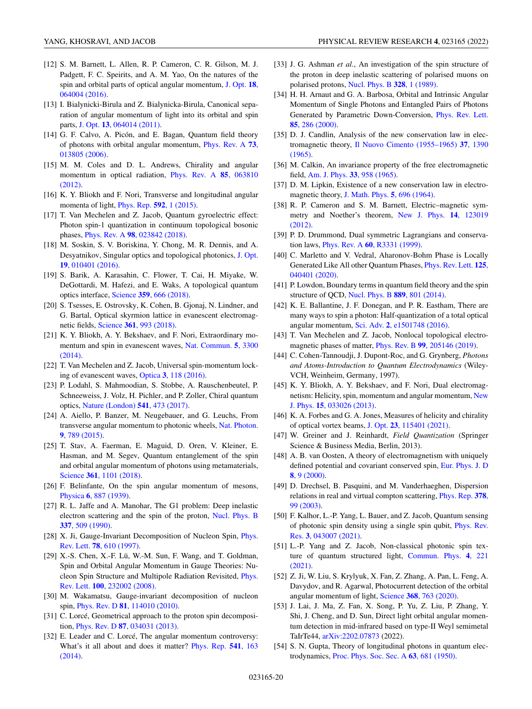- <span id="page-19-0"></span>[12] S. M. Barnett, L. Allen, R. P. Cameron, C. R. Gilson, M. J. Padgett, F. C. Speirits, and A. M. Yao, On the natures of the [spin and orbital parts of optical angular momentum,](https://doi.org/10.1088/2040-8978/18/6/064004) J. Opt. **18**, 064004 (2016).
- [13] I. Bialynicki-Birula and Z. Bialynicka-Birula, Canonical separation of angular momentum of light into its orbital and spin parts, J. Opt. **13**[, 064014 \(2011\).](https://doi.org/10.1088/2040-8978/13/6/064014)
- [14] G. F. Calvo, A. Picón, and E. Bagan, Quantum field theory [of photons with orbital angular momentum,](https://doi.org/10.1103/PhysRevA.73.013805) Phys. Rev. A **73**, 013805 (2006).
- [15] M. M. Coles and D. L. Andrews, Chirality and angular [momentum in optical radiation,](https://doi.org/10.1103/PhysRevA.85.063810) Phys. Rev. A **85**, 063810 (2012).
- [16] K. Y. Bliokh and F. Nori, Transverse and longitudinal angular momenta of light, [Phys. Rep.](https://doi.org/10.1016/j.physrep.2015.06.003) **592**, 1 (2015).
- [17] T. Van Mechelen and Z. Jacob, Quantum gyroelectric effect: Photon spin-1 quantization in continuum topological bosonic phases, Phys. Rev. A **98**[, 023842 \(2018\).](https://doi.org/10.1103/PhysRevA.98.023842)
- [18] M. Soskin, S. V. Boriskina, Y. Chong, M. R. Dennis, and A. [Desyatnikov, Singular optics and topological photonics,](https://doi.org/10.1088/2040-8986/19/1/010401) J. Opt. **19**, 010401 (2016).
- [19] S. Barik, A. Karasahin, C. Flower, T. Cai, H. Miyake, W. DeGottardi, M. Hafezi, and E. Waks, A topological quantum optics interface, Science **359**[, 666 \(2018\).](https://doi.org/10.1126/science.aaq0327)
- [20] S. Tsesses, E. Ostrovsky, K. Cohen, B. Gjonaj, N. Lindner, and G. Bartal, Optical skyrmion lattice in evanescent electromagnetic fields, Science **361**[, 993 \(2018\).](https://doi.org/10.1126/science.aau0227)
- [21] K. Y. Bliokh, A. Y. Bekshaev, and F. Nori, Extraordinary mo[mentum and spin in evanescent waves,](https://doi.org/10.1038/ncomms4300) Nat. Commun. **5**, 3300 (2014).
- [22] T. Van Mechelen and Z. Jacob, Universal spin-momentum locking of evanescent waves, Optica **3**[, 118 \(2016\).](https://doi.org/10.1364/OPTICA.3.000118)
- [23] P. Lodahl, S. Mahmoodian, S. Stobbe, A. Rauschenbeutel, P. Schneeweiss, J. Volz, H. Pichler, and P. Zoller, Chiral quantum optics, [Nature \(London\)](https://doi.org/10.1038/nature21037) **541**, 473 (2017).
- [24] A. Aiello, P. Banzer, M. Neugebauer, and G. Leuchs, From [transverse angular momentum to photonic wheels,](https://doi.org/10.1038/nphoton.2015.203) Nat. Photon. **9**, 789 (2015).
- [25] T. Stav, A. Faerman, E. Maguid, D. Oren, V. Kleiner, E. Hasman, and M. Segev, Quantum entanglement of the spin and orbital angular momentum of photons using metamaterials, Science **361**[, 1101 \(2018\).](https://doi.org/10.1126/science.aat9042)
- [26] F. Belinfante, On the spin angular momentum of mesons, Physica **6**[, 887 \(1939\).](https://doi.org/10.1016/S0031-8914(39)90090-X)
- [27] R. L. Jaffe and A. Manohar, The G1 problem: Deep inelastic [electron scattering and the spin of the proton,](https://doi.org/10.1016/0550-3213(90)90506-9) Nucl. Phys. B **337**, 509 (1990).
- [28] [X. Ji, Gauge-Invariant Decomposition of Nucleon Spin,](https://doi.org/10.1103/PhysRevLett.78.610) *Phys.* Rev. Lett. **78**, 610 (1997).
- [29] X.-S. Chen, X.-F. Lü, W.-M. Sun, F. Wang, and T. Goldman, Spin and Orbital Angular Momentum in Gauge Theories: Nu[cleon Spin Structure and Multipole Radiation Revisited,](https://doi.org/10.1103/PhysRevLett.100.232002) Phys. Rev. Lett. **100**, 232002 (2008).
- [30] M. Wakamatsu, Gauge-invariant decomposition of nucleon spin, Phys. Rev. D **81**[, 114010 \(2010\).](https://doi.org/10.1103/PhysRevD.81.114010)
- [31] C. Lorcé, Geometrical approach to the proton spin decomposition, Phys. Rev. D **87**[, 034031 \(2013\).](https://doi.org/10.1103/PhysRevD.87.034031)
- [32] E. Leader and C. Lorcé, The angular momentum controversy: [What's it all about and does it matter?](https://doi.org/10.1016/j.physrep.2014.02.010) Phys. Rep. **541**, 163 (2014).
- [33] J. G. Ashman *et al.*, An investigation of the spin structure of the proton in deep inelastic scattering of polarised muons on polarised protons, [Nucl. Phys. B](https://doi.org/10.1016/0550-3213(89)90089-8) **328**, 1 (1989).
- [34] H. H. Arnaut and G. A. Barbosa, Orbital and Intrinsic Angular Momentum of Single Photons and Entangled Pairs of Photons [Generated by Parametric Down-Conversion,](https://doi.org/10.1103/PhysRevLett.85.286) Phys. Rev. Lett. **85**, 286 (2000).
- [35] D. J. Candlin, Analysis of the new conservation law in electromagnetic theory, [Il Nuovo Cimento \(1955–1965\)](https://doi.org/10.1007/BF02783348) **37**, 1390 (1965).
- [36] M. Calkin, An invariance property of the free electromagnetic field, [Am. J. Phys.](https://doi.org/10.1119/1.1971089) **33**, 958 (1965).
- [37] D. M. Lipkin, Existence of a new conservation law in electromagnetic theory, [J. Math. Phys.](https://doi.org/10.1063/1.1704165) **5**, 696 (1964).
- [38] R. P. Cameron and S. M. Barnett, Electric–magnetic sym[metry and Noether's theorem,](https://doi.org/10.1088/1367-2630/14/12/123019) New J. Phys. **14**, 123019 (2012).
- [39] P. D. Drummond, Dual symmetric Lagrangians and conservation laws, Phys. Rev. A **60**[, R3331 \(1999\).](https://doi.org/10.1103/PhysRevA.60.R3331)
- [40] C. Marletto and V. Vedral, Aharonov-Bohm Phase is Locally [Generated Like All other Quantum Phases,](https://doi.org/10.1103/PhysRevLett.125.040401) Phys. Rev. Lett. **125**, 040401 (2020).
- [41] P. Lowdon, Boundary terms in quantum field theory and the spin structure of QCD, [Nucl. Phys. B](https://doi.org/10.1016/j.nuclphysb.2014.11.004) **889**, 801 (2014).
- [42] K. E. Ballantine, J. F. Donegan, and P. R. Eastham, There are many ways to spin a photon: Half-quantization of a total optical angular momentum, Sci. Adv. **2**[, e1501748 \(2016\).](https://doi.org/10.1126/sciadv.1501748)
- [43] T. Van Mechelen and Z. Jacob, Nonlocal topological electromagnetic phases of matter, Phys. Rev. B **99**[, 205146 \(2019\).](https://doi.org/10.1103/PhysRevB.99.205146)
- [44] C. Cohen-Tannoudji, J. Dupont-Roc, and G. Grynberg, *Photons and Atoms-Introduction to Quantum Electrodynamics* (Wiley-VCH, Weinheim, Germany, 1997).
- [45] K. Y. Bliokh, A. Y. Bekshaev, and F. Nori, Dual electromag[netism: Helicity, spin, momentum and angular momentum,](https://doi.org/10.1088/1367-2630/15/3/033026) New J. Phys. **15**, 033026 (2013).
- [46] K. A. Forbes and G. A. Jones, Measures of helicity and chirality of optical vortex beams, J. Opt. **23**[, 115401 \(2021\).](https://doi.org/10.1088/2040-8986/ac24bd)
- [47] W. Greiner and J. Reinhardt, *Field Quantization* (Springer Science & Business Media, Berlin, 2013).
- [48] A. B. van Oosten, A theory of electromagnetism with uniquely [defined potential and covariant conserved spin,](https://doi.org/10.1007/s10053-000-8801-5) Eur. Phys. J. D **8**, 9 (2000).
- [49] D. Drechsel, B. Pasquini, and M. Vanderhaeghen, Dispersion [relations in real and virtual compton scattering,](https://doi.org/10.1016/S0370-1573(02)00636-1) Phys. Rep. **378**, 99 (2003).
- [50] F. Kalhor, L.-P. Yang, L. Bauer, and Z. Jacob, Quantum sensing [of photonic spin density using a single spin qubit,](https://doi.org/10.1103/PhysRevResearch.3.043007) Phys. Rev. Res. **3**, 043007 (2021).
- [51] L.-P. Yang and Z. Jacob, Non-classical photonic spin tex[ture of quantum structured light,](https://doi.org/10.1038/s42005-021-00726-w) Commun. Phys. **4**, 221 (2021).
- [52] Z. Ji, W. Liu, S. Krylyuk, X. Fan, Z. Zhang, A. Pan, L. Feng, A. Davydov, and R. Agarwal, Photocurrent detection of the orbital angular momentum of light, Science **368**[, 763 \(2020\).](https://doi.org/10.1126/science.aba9192)
- [53] J. Lai, J. Ma, Z. Fan, X. Song, P. Yu, Z. Liu, P. Zhang, Y. Shi, J. Cheng, and D. Sun, Direct light orbital angular momentum detection in mid-infrared based on type-II Weyl semimetal TaIrTe44, [arXiv:2202.07873](http://arxiv.org/abs/arXiv:2202.07873) (2022).
- [54] S. N. Gupta, Theory of longitudinal photons in quantum electrodynamics, [Proc. Phys. Soc. Sec. A](https://doi.org/10.1088/0370-1298/63/7/301) **63**, 681 (1950).